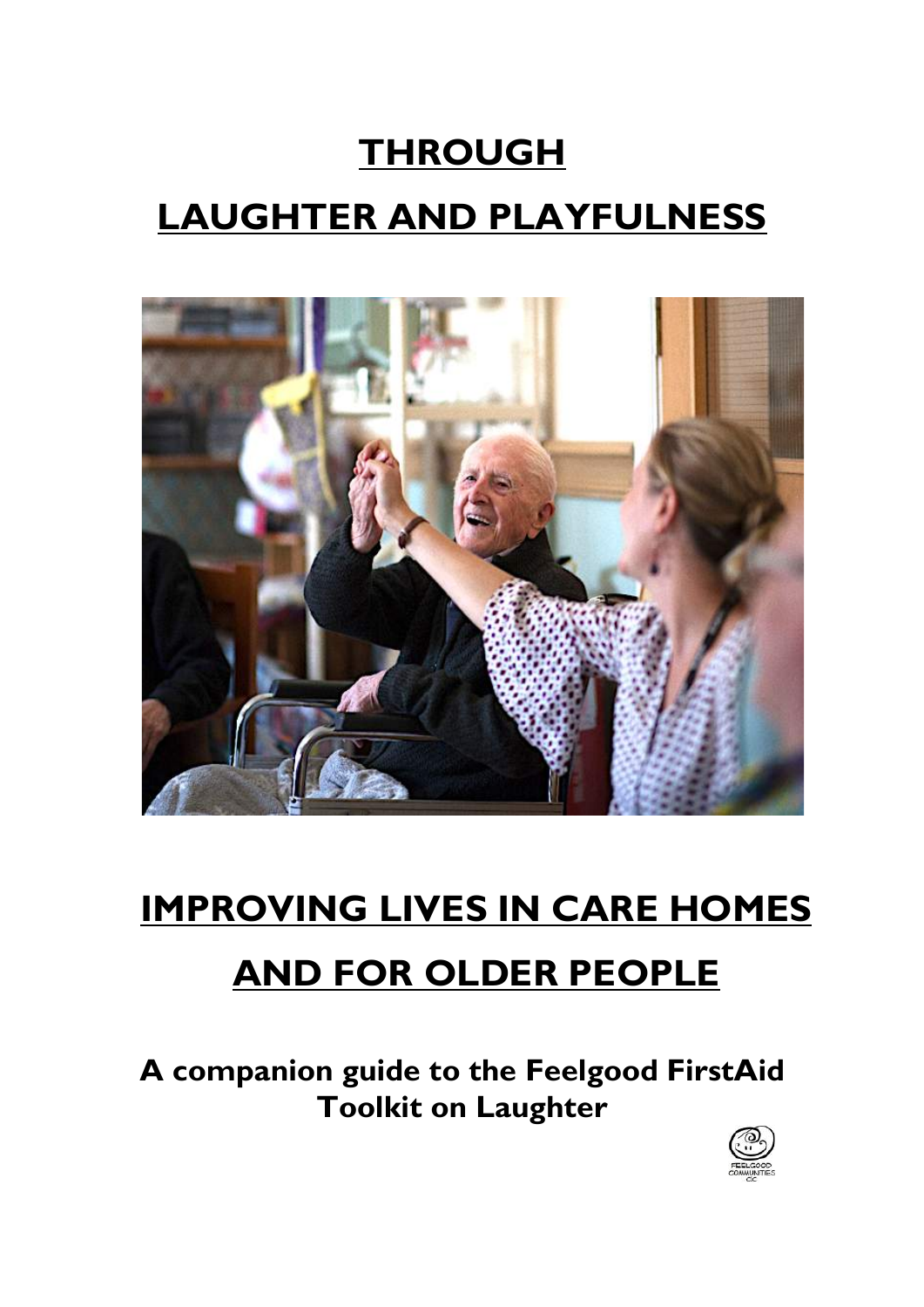# **THROUGH LAUGHTER AND PLAYFULNESS**



# **IMPROVING LIVES IN CARE HOMES AND FOR OLDER PEOPLE**

**A companion guide to the Feelgood FirstAid Toolkit on Laughter**

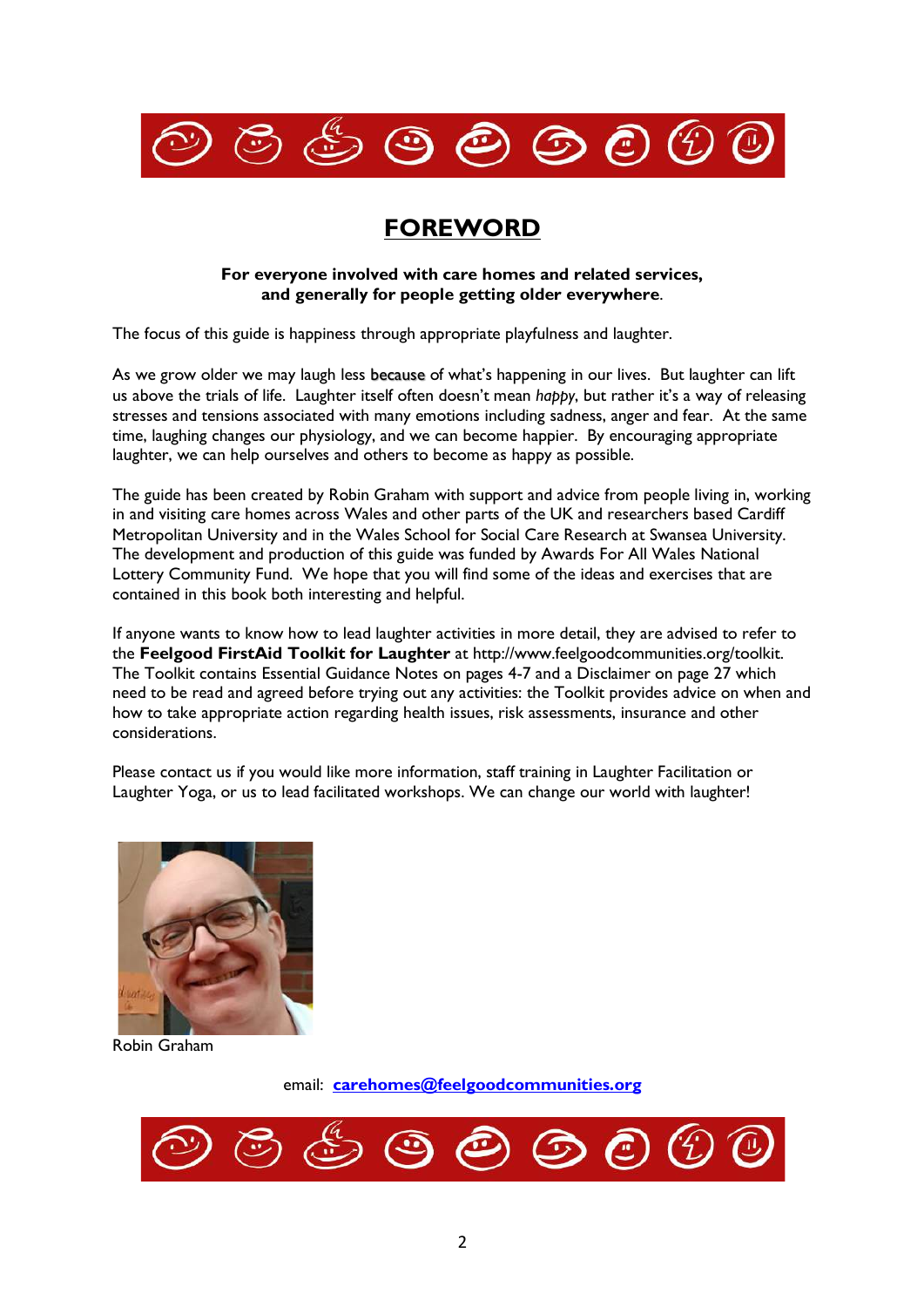

### **FOREWORD**

#### **For everyone involved with care homes and related services, and generally for people getting older everywhere**.

The focus of this guide is happiness through appropriate playfulness and laughter.

As we grow older we may laugh less because of what's happening in our lives. But laughter can lift us above the trials of life. Laughter itself often doesn't mean *happy*, but rather it's a way of releasing stresses and tensions associated with many emotions including sadness, anger and fear. At the same time, laughing changes our physiology, and we can become happier. By encouraging appropriate laughter, we can help ourselves and others to become as happy as possible.

The guide has been created by Robin Graham with support and advice from people living in, working in and visiting care homes across Wales and other parts of the UK and researchers based Cardiff Metropolitan University and in the Wales School for Social Care Research at Swansea University. The development and production of this guide was funded by Awards For All Wales National Lottery Community Fund. We hope that you will find some of the ideas and exercises that are contained in this book both interesting and helpful.

If anyone wants to know how to lead laughter activities in more detail, they are advised to refer to the **Feelgood FirstAid Toolkit for Laughter** at http://www.feelgoodcommunities.org/toolkit. The Toolkit contains Essential Guidance Notes on pages 4-7 and a Disclaimer on page 27 which need to be read and agreed before trying out any activities: the Toolkit provides advice on when and how to take appropriate action regarding health issues, risk assessments, insurance and other considerations.

Please contact us if you would like more information, staff training in Laughter Facilitation or Laughter Yoga, or us to lead facilitated workshops. We can change our world with laughter!



Robin Graham

email: **carehomes@feelgoodcommunities.org**

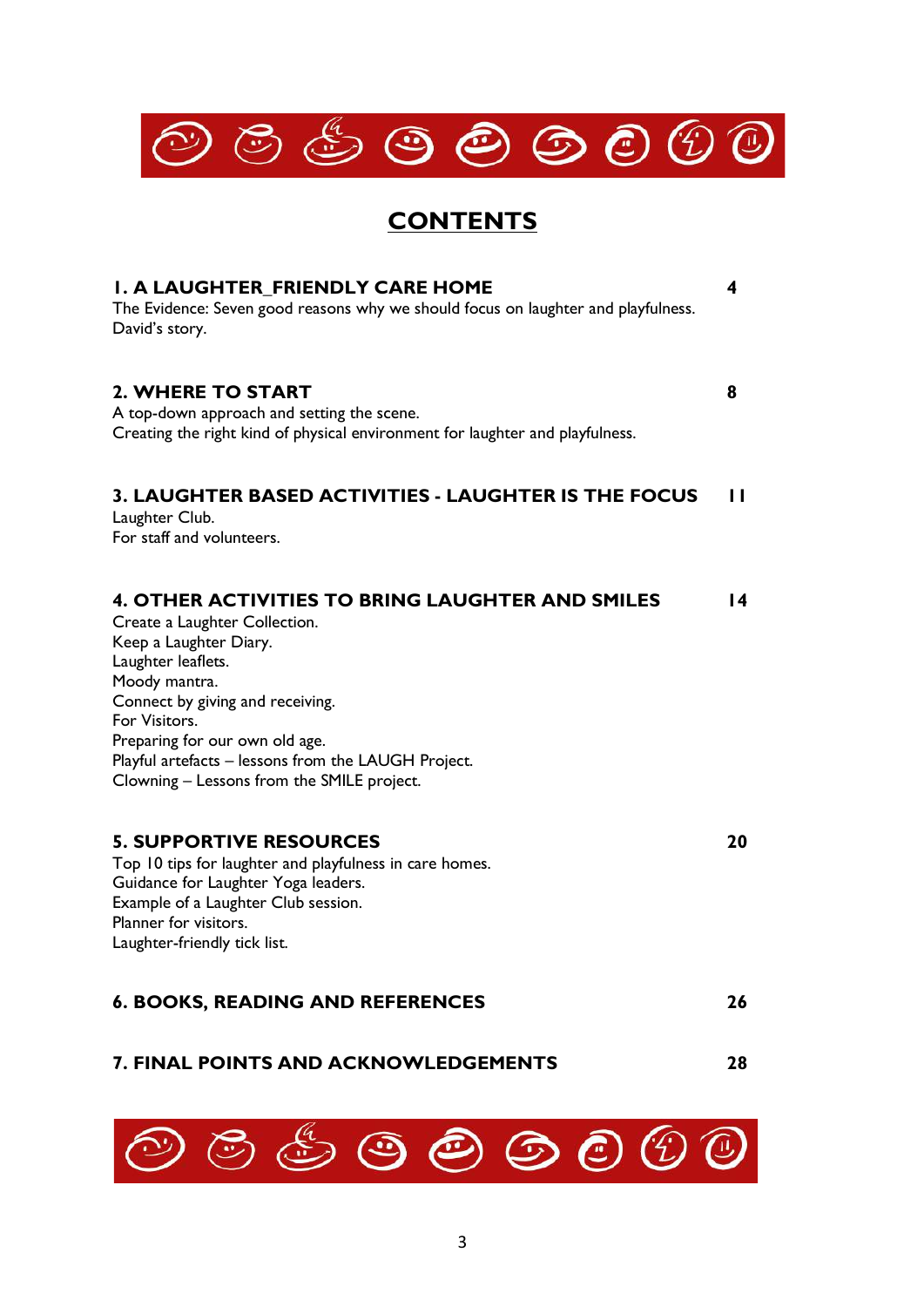

### **CONTENTS**

| <b>I. A LAUGHTER FRIENDLY CARE HOME</b><br>The Evidence: Seven good reasons why we should focus on laughter and playfulness.<br>David's story.                                                                                                                                                                                                        | 4               |
|-------------------------------------------------------------------------------------------------------------------------------------------------------------------------------------------------------------------------------------------------------------------------------------------------------------------------------------------------------|-----------------|
| 2. WHERE TO START<br>A top-down approach and setting the scene.<br>Creating the right kind of physical environment for laughter and playfulness.                                                                                                                                                                                                      | 8               |
| 3. LAUGHTER BASED ACTIVITIES - LAUGHTER IS THE FOCUS<br>Laughter Club.<br>For staff and volunteers.                                                                                                                                                                                                                                                   | $\mathbf{H}$    |
| <b>4. OTHER ACTIVITIES TO BRING LAUGHTER AND SMILES</b><br>Create a Laughter Collection.<br>Keep a Laughter Diary.<br>Laughter leaflets.<br>Moody mantra.<br>Connect by giving and receiving.<br>For Visitors.<br>Preparing for our own old age.<br>Playful artefacts - lessons from the LAUGH Project.<br>Clowning - Lessons from the SMILE project. | $\overline{14}$ |
| <b>5. SUPPORTIVE RESOURCES</b><br>Top 10 tips for laughter and playfulness in care homes.<br>Guidance for Laughter Yoga leaders.<br>Example of a Laughter Club session.<br>Planner for visitors.<br>Laughter-friendly tick list.                                                                                                                      | 20              |
| <b>6. BOOKS, READING AND REFERENCES</b>                                                                                                                                                                                                                                                                                                               | 26              |
| 7. FINAL POINTS AND ACKNOWLEDGEMENTS                                                                                                                                                                                                                                                                                                                  | 28              |
|                                                                                                                                                                                                                                                                                                                                                       |                 |

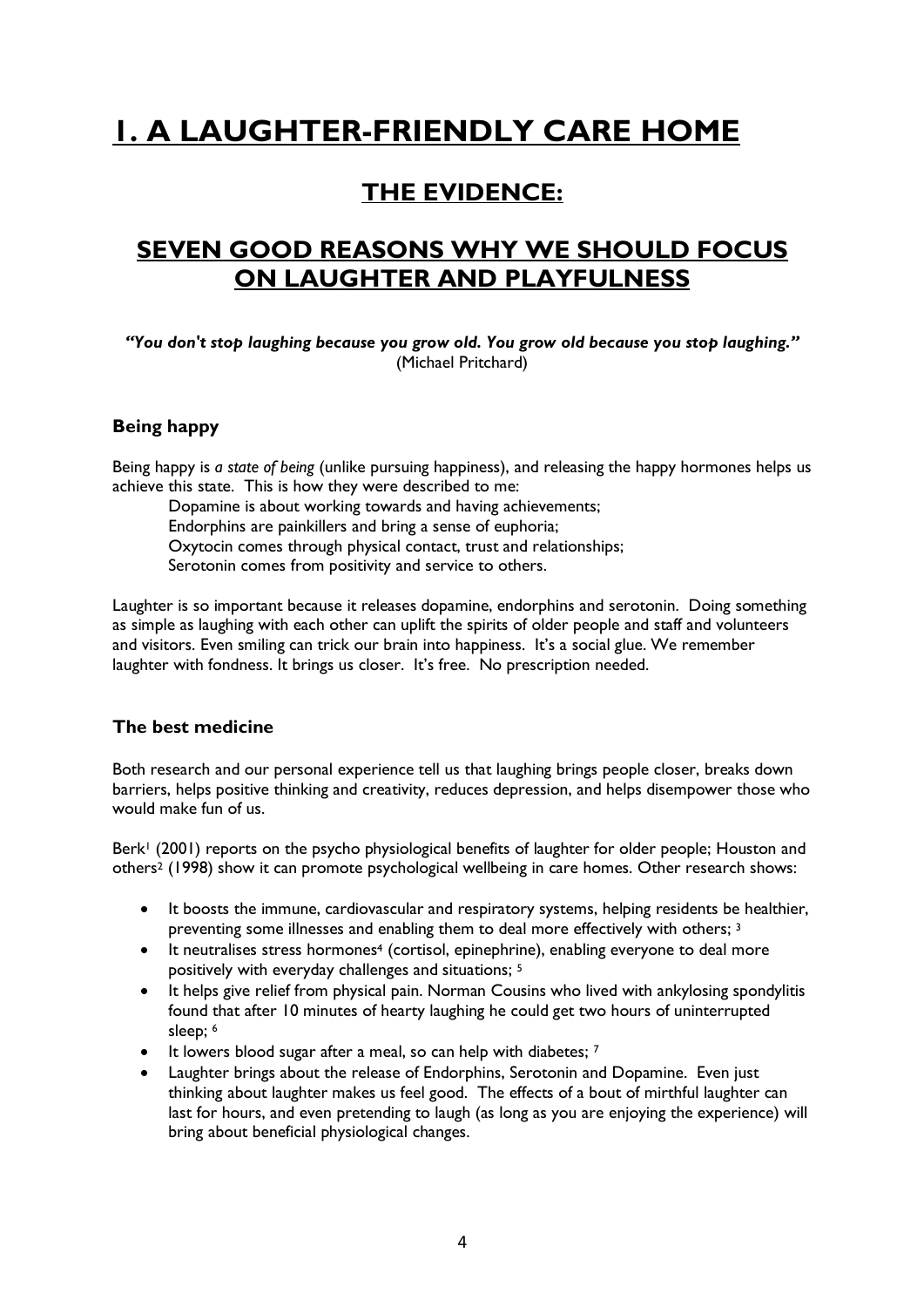## **1. A LAUGHTER-FRIENDLY CARE HOME**

### **THE EVIDENCE:**

### **SEVEN GOOD REASONS WHY WE SHOULD FOCUS ON LAUGHTER AND PLAYFULNESS**

#### *"You don't stop laughing because you grow old. You grow old because you stop laughing."*  (Michael Pritchard)

### **Being happy**

Being happy is *a state of being* (unlike pursuing happiness), and releasing the happy hormones helps us achieve this state. This is how they were described to me:

Dopamine is about working towards and having achievements;

Endorphins are painkillers and bring a sense of euphoria;

Oxytocin comes through physical contact, trust and relationships;

Serotonin comes from positivity and service to others.

Laughter is so important because it releases dopamine, endorphins and serotonin. Doing something as simple as laughing with each other can uplift the spirits of older people and staff and volunteers and visitors. Even smiling can trick our brain into happiness. It's a social glue. We remember laughter with fondness. It brings us closer. It's free. No prescription needed.

### **The best medicine**

Both research and our personal experience tell us that laughing brings people closer, breaks down barriers, helps positive thinking and creativity, reduces depression, and helps disempower those who would make fun of us.

Berk<sup>1</sup> (2001) reports on the psycho physiological benefits of laughter for older people; Houston and others2 (1998) show it can promote psychological wellbeing in care homes. Other research shows:

- It boosts the immune, cardiovascular and respiratory systems, helping residents be healthier, preventing some illnesses and enabling them to deal more effectively with others; 3
- It neutralises stress hormones<sup>4</sup> (cortisol, epinephrine), enabling everyone to deal more positively with everyday challenges and situations; 5
- It helps give relief from physical pain. Norman Cousins who lived with ankylosing spondylitis found that after 10 minutes of hearty laughing he could get two hours of uninterrupted sleep; <sup>6</sup>
- It lowers blood sugar after a meal, so can help with diabetes; 7
- Laughter brings about the release of Endorphins, Serotonin and Dopamine. Even just thinking about laughter makes us feel good. The effects of a bout of mirthful laughter can last for hours, and even pretending to laugh (as long as you are enjoying the experience) will bring about beneficial physiological changes.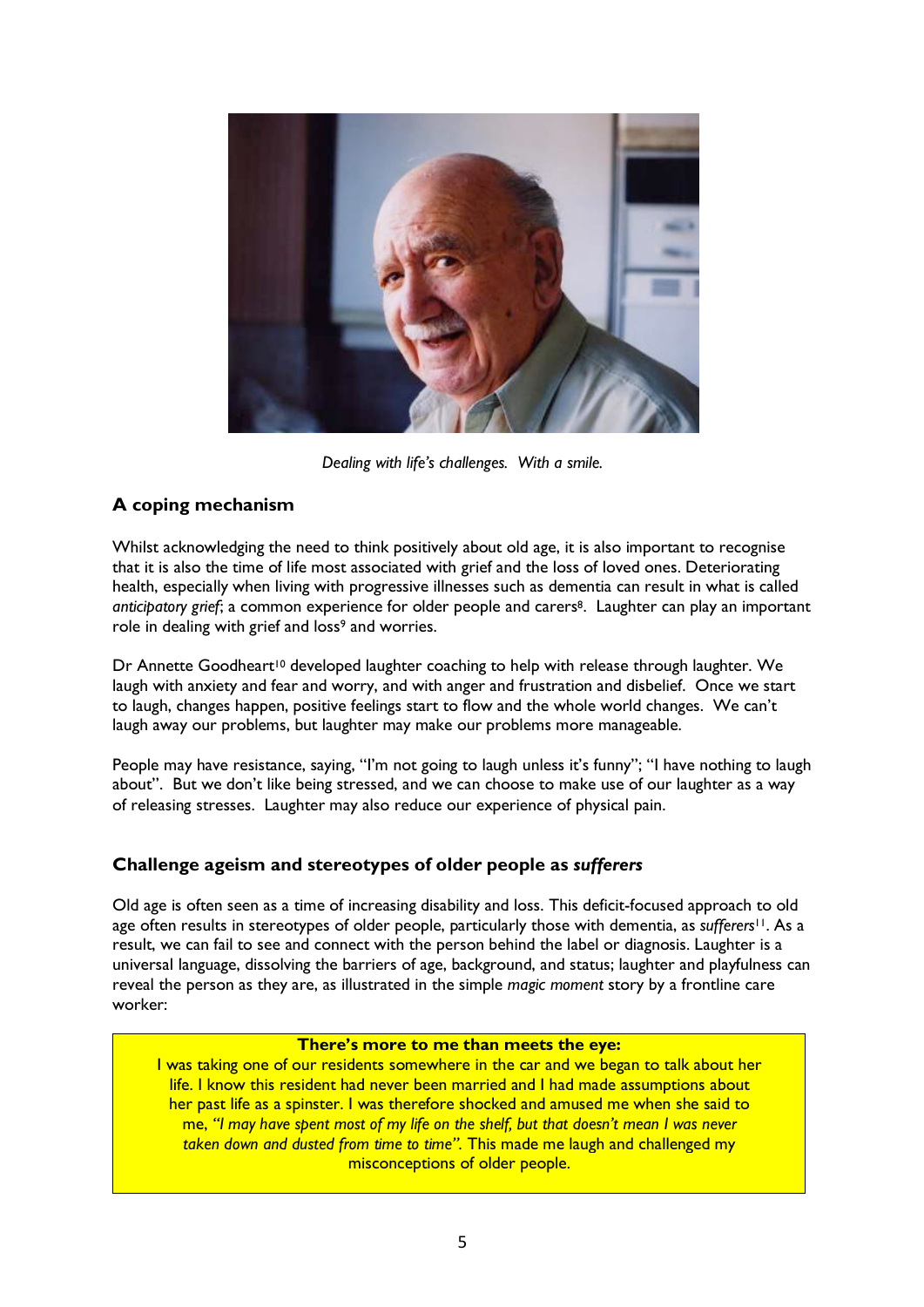

*Dealing with life's challenges. With a smile.*

### **A coping mechanism**

Whilst acknowledging the need to think positively about old age, it is also important to recognise that it is also the time of life most associated with grief and the loss of loved ones. Deteriorating health, especially when living with progressive illnesses such as dementia can result in what is called *anticipatory grief*; a common experience for older people and carers8. Laughter can play an important role in dealing with grief and loss<sup>9</sup> and worries.

Dr Annette Goodheart<sup>10</sup> developed laughter coaching to help with release through laughter. We laugh with anxiety and fear and worry, and with anger and frustration and disbelief. Once we start to laugh, changes happen, positive feelings start to flow and the whole world changes. We can't laugh away our problems, but laughter may make our problems more manageable.

People may have resistance, saying, "I'm not going to laugh unless it's funny"; "I have nothing to laugh about". But we don't like being stressed, and we can choose to make use of our laughter as a way of releasing stresses. Laughter may also reduce our experience of physical pain.

### **Challenge ageism and stereotypes of older people as** *sufferers*

Old age is often seen as a time of increasing disability and loss. This deficit-focused approach to old age often results in stereotypes of older people, particularly those with dementia, as *sufferers*11. As a result, we can fail to see and connect with the person behind the label or diagnosis. Laughter is a universal language, dissolving the barriers of age, background, and status; laughter and playfulness can reveal the person as they are, as illustrated in the simple *magic moment* story by a frontline care worker:

### **There's more to me than meets the eye:**

I was taking one of our residents somewhere in the car and we began to talk about her life. I know this resident had never been married and I had made assumptions about her past life as a spinster. I was therefore shocked and amused me when she said to me, *"I may have spent most of my life on the shelf, but that doesn't mean I was never taken down and dusted from time to time".* This made me laugh and challenged my misconceptions of older people.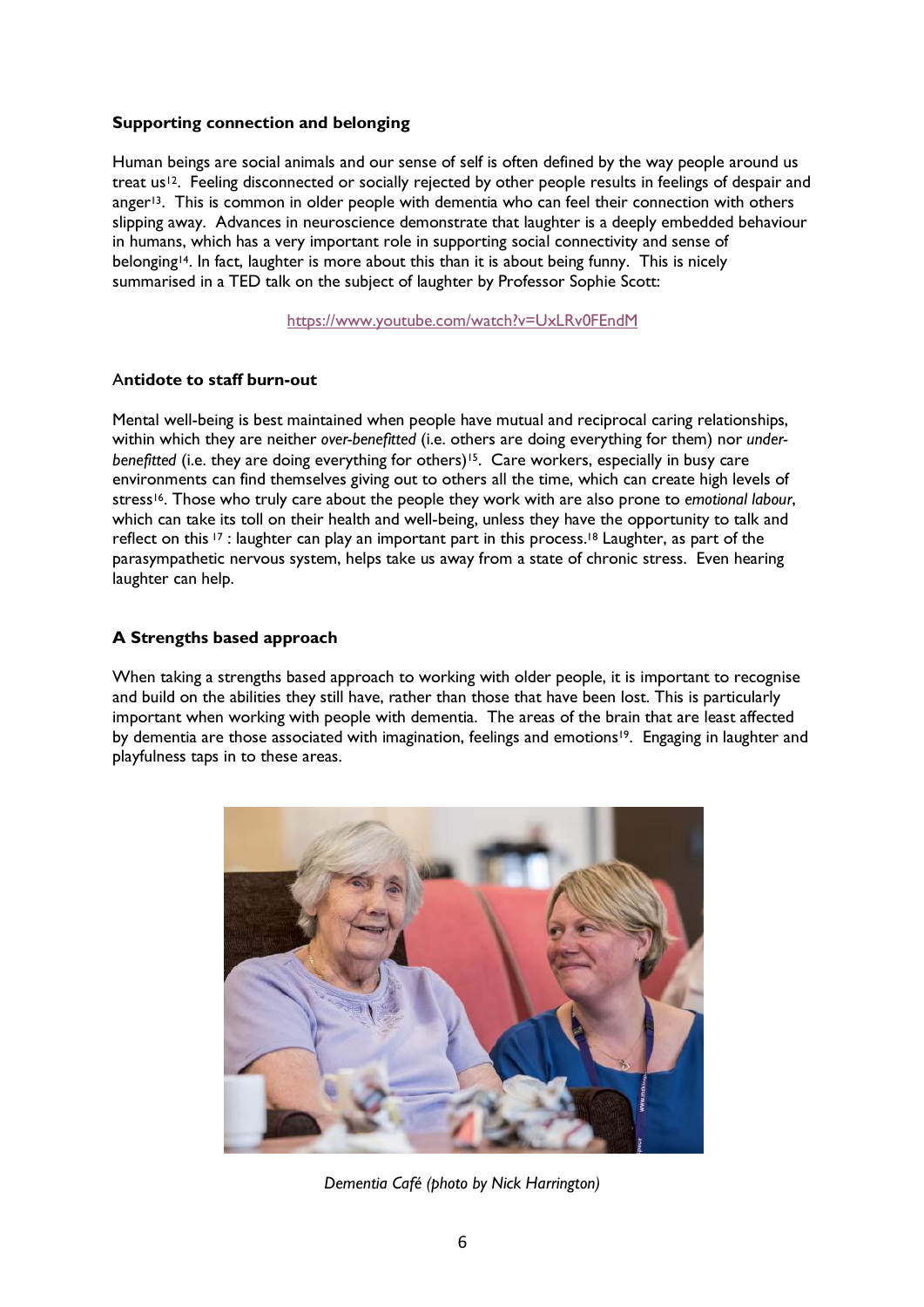#### **Supporting connection and belonging**

Human beings are social animals and our sense of self is often defined by the way people around us treat us12. Feeling disconnected or socially rejected by other people results in feelings of despair and anger13. This is common in older people with dementia who can feel their connection with others slipping away. Advances in neuroscience demonstrate that laughter is a deeply embedded behaviour in humans, which has a very important role in supporting social connectivity and sense of belonging<sup>14</sup>. In fact, laughter is more about this than it is about being funny. This is nicely summarised in a TED talk on the subject of laughter by Professor Sophie Scott:

https://www.youtube.com/watch?v=UxLRv0FEndM

#### A**ntidote to staff burn-out**

Mental well-being is best maintained when people have mutual and reciprocal caring relationships, within which they are neither *over-benefitted* (i.e. others are doing everything for them) nor *under*benefitted (i.e. they are doing everything for others)<sup>15</sup>. Care workers, especially in busy care environments can find themselves giving out to others all the time, which can create high levels of stress16. Those who truly care about the people they work with are also prone to *emotional labour*, which can take its toll on their health and well-being, unless they have the opportunity to talk and reflect on this <sup>17</sup> : laughter can play an important part in this process.18 Laughter, as part of the parasympathetic nervous system, helps take us away from a state of chronic stress. Even hearing laughter can help.

### **A Strengths based approach**

When taking a strengths based approach to working with older people, it is important to recognise and build on the abilities they still have, rather than those that have been lost. This is particularly important when working with people with dementia. The areas of the brain that are least affected by dementia are those associated with imagination, feelings and emotions<sup>19</sup>. Engaging in laughter and playfulness taps in to these areas.



*Dementia Café (photo by Nick Harrington)*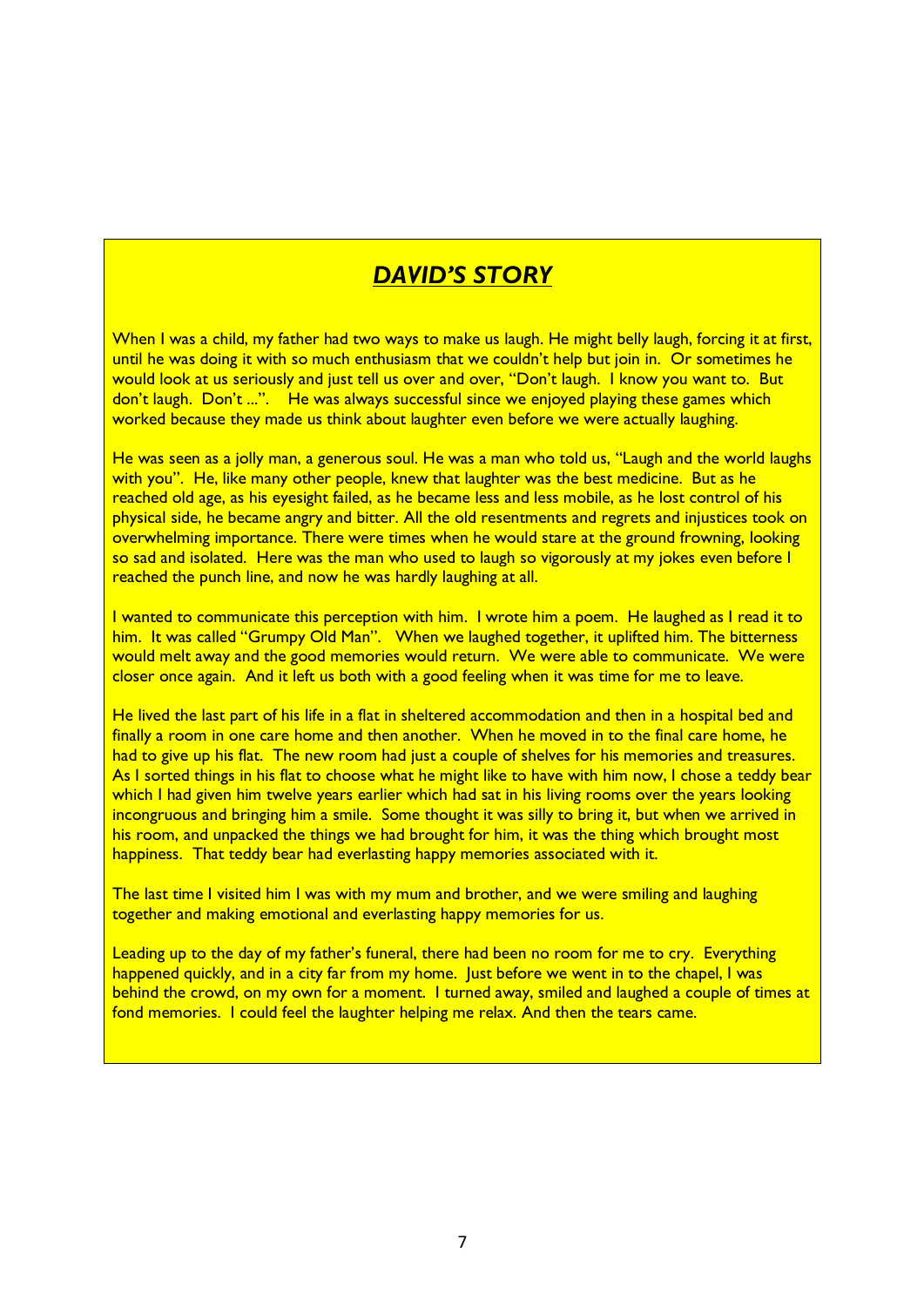### *DAVID'S STORY*

When I was a child, my father had two ways to make us laugh. He might belly laugh, forcing it at first, until he was doing it with so much enthusiasm that we couldn't help but join in. Or sometimes he would look at us seriously and just tell us over and over, "Don't laugh. I know you want to. But don't laugh. Don't ...". He was always successful since we enjoyed playing these games which worked because they made us think about laughter even before we were actually laughing.

He was seen as a jolly man, a generous soul. He was a man who told us, "Laugh and the world laughs with you". He, like many other people, knew that laughter was the best medicine. But as he reached old age, as his eyesight failed, as he became less and less mobile, as he lost control of his physical side, he became angry and bitter. All the old resentments and regrets and injustices took on overwhelming importance. There were times when he would stare at the ground frowning, looking so sad and isolated. Here was the man who used to laugh so vigorously at my jokes even before I reached the punch line, and now he was hardly laughing at all.

I wanted to communicate this perception with him. I wrote him a poem. He laughed as I read it to him. It was called "Grumpy Old Man". When we laughed together, it uplifted him. The bitterness would melt away and the good memories would return. We were able to communicate. We were closer once again. And it left us both with a good feeling when it was time for me to leave.

He lived the last part of his life in a flat in sheltered accommodation and then in a hospital bed and finally a room in one care home and then another. When he moved in to the final care home, he had to give up his flat. The new room had just a couple of shelves for his memories and treasures. As I sorted things in his flat to choose what he might like to have with him now, I chose a teddy bear which I had given him twelve years earlier which had sat in his living rooms over the years looking incongruous and bringing him a smile. Some thought it was silly to bring it, but when we arrived in his room, and unpacked the things we had brought for him, it was the thing which brought most happiness. That teddy bear had everlasting happy memories associated with it.

The last time I visited him I was with my mum and brother, and we were smiling and laughing together and making emotional and everlasting happy memories for us.

Leading up to the day of my father's funeral, there had been no room for me to cry. Everything happened quickly, and in a city far from my home. Just before we went in to the chapel, I was behind the crowd, on my own for a moment. I turned away, smiled and laughed a couple of times at fond memories. I could feel the laughter helping me relax. And then the tears came.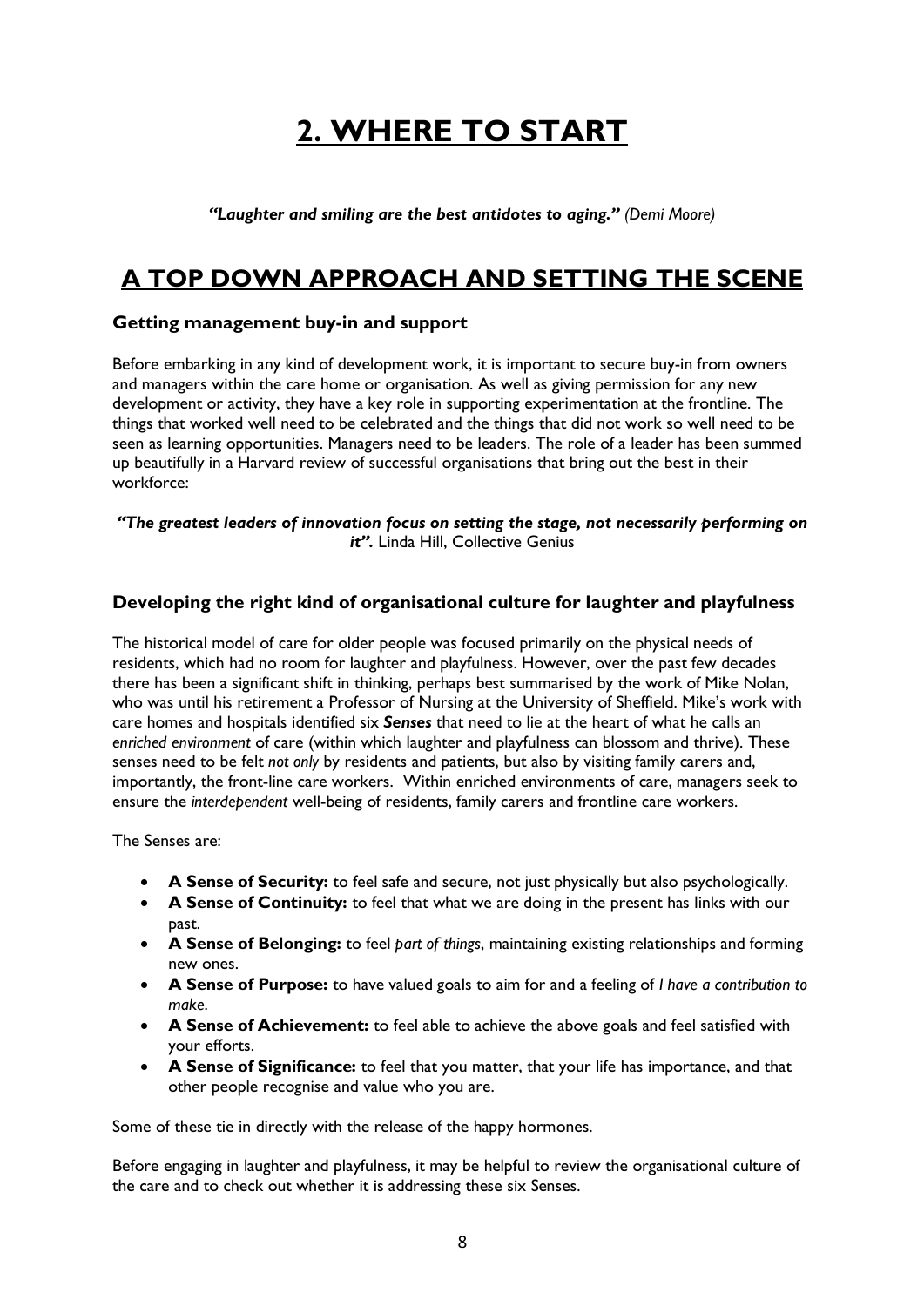# **2. WHERE TO START**

*"Laughter and smiling are the best antidotes to aging." (Demi Moore)*

### **A TOP DOWN APPROACH AND SETTING THE SCENE**

### **Getting management buy-in and support**

Before embarking in any kind of development work, it is important to secure buy-in from owners and managers within the care home or organisation. As well as giving permission for any new development or activity, they have a key role in supporting experimentation at the frontline. The things that worked well need to be celebrated and the things that did not work so well need to be seen as learning opportunities. Managers need to be leaders. The role of a leader has been summed up beautifully in a Harvard review of successful organisations that bring out the best in their workforce:

#### *"The greatest leaders of innovation focus on setting the stage, not necessarily performing on it"*. Linda Hill, Collective Genius

### **Developing the right kind of organisational culture for laughter and playfulness**

The historical model of care for older people was focused primarily on the physical needs of residents, which had no room for laughter and playfulness. However, over the past few decades there has been a significant shift in thinking, perhaps best summarised by the work of Mike Nolan, who was until his retirement a Professor of Nursing at the University of Sheffield. Mike's work with care homes and hospitals identified six *Senses* that need to lie at the heart of what he calls an *enriched environment* of care (within which laughter and playfulness can blossom and thrive). These senses need to be felt *not only* by residents and patients, but also by visiting family carers and, importantly, the front-line care workers. Within enriched environments of care, managers seek to ensure the *interdependent* well-being of residents, family carers and frontline care workers.

The Senses are:

- **A Sense of Security:** to feel safe and secure, not just physically but also psychologically.
- **A Sense of Continuity:** to feel that what we are doing in the present has links with our past.
- **A Sense of Belonging:** to feel *part of things*, maintaining existing relationships and forming new ones.
- **A Sense of Purpose:** to have valued goals to aim for and a feeling of *I have a contribution to make*.
- **A Sense of Achievement:** to feel able to achieve the above goals and feel satisfied with your efforts.
- **A Sense of Significance:** to feel that you matter, that your life has importance, and that other people recognise and value who you are.

Some of these tie in directly with the release of the happy hormones.

Before engaging in laughter and playfulness, it may be helpful to review the organisational culture of the care and to check out whether it is addressing these six Senses.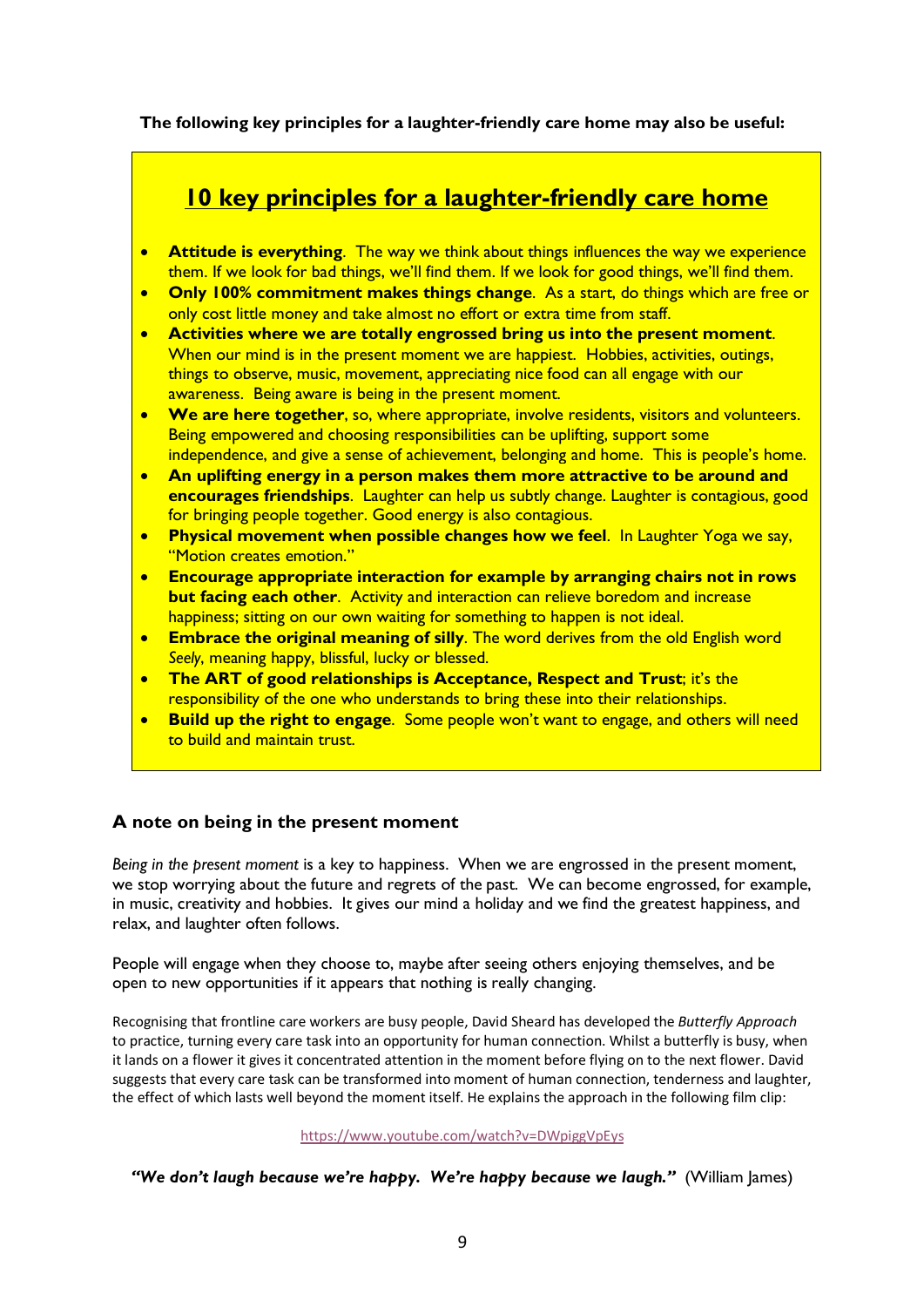**The following key principles for a laughter-friendly care home may also be useful:**

### **10 key principles for a laughter-friendly care home**

- **Attitude is everything**. The way we think about things influences the way we experience them. If we look for bad things, we'll find them. If we look for good things, we'll find them.
- **Only 100% commitment makes things change**. As a start, do things which are free or only cost little money and take almost no effort or extra time from staff.
- **Activities where we are totally engrossed bring us into the present moment**. When our mind is in the present moment we are happiest. Hobbies, activities, outings, things to observe, music, movement, appreciating nice food can all engage with our awareness. Being aware is being in the present moment.
- **We are here together**, so, where appropriate, involve residents, visitors and volunteers. Being empowered and choosing responsibilities can be uplifting, support some independence, and give a sense of achievement, belonging and home. This is people's home.
- **An uplifting energy in a person makes them more attractive to be around and encourages friendships**. Laughter can help us subtly change. Laughter is contagious, good for bringing people together. Good energy is also contagious.
- **Physical movement when possible changes how we feel**. In Laughter Yoga we say, "Motion creates emotion."
- **Encourage appropriate interaction for example by arranging chairs not in rows but facing each other**. Activity and interaction can relieve boredom and increase happiness; sitting on our own waiting for something to happen is not ideal.
- **Embrace the original meaning of silly**. The word derives from the old English word *Seely*, meaning happy, blissful, lucky or blessed.
- **The ART of good relationships is Acceptance, Respect and Trust**; it's the responsibility of the one who understands to bring these into their relationships.
- **Build up the right to engage**. Some people won't want to engage, and others will need to build and maintain trust.

### **A note on being in the present moment**

*Being in the present moment* is a key to happiness. When we are engrossed in the present moment, we stop worrying about the future and regrets of the past. We can become engrossed, for example, in music, creativity and hobbies. It gives our mind a holiday and we find the greatest happiness, and relax, and laughter often follows.

People will engage when they choose to, maybe after seeing others enjoying themselves, and be open to new opportunities if it appears that nothing is really changing.

Recognising that frontline care workers are busy people, David Sheard has developed the *Butterfly Approach* to practice, turning every care task into an opportunity for human connection. Whilst a butterfly is busy, when it lands on a flower it gives it concentrated attention in the moment before flying on to the next flower. David suggests that every care task can be transformed into moment of human connection, tenderness and laughter, the effect of which lasts well beyond the moment itself. He explains the approach in the following film clip:

https://www.youtube.com/watch?v=DWpiggVpEys

*"We don't laugh because we're happy. We're happy because we laugh."* (William James)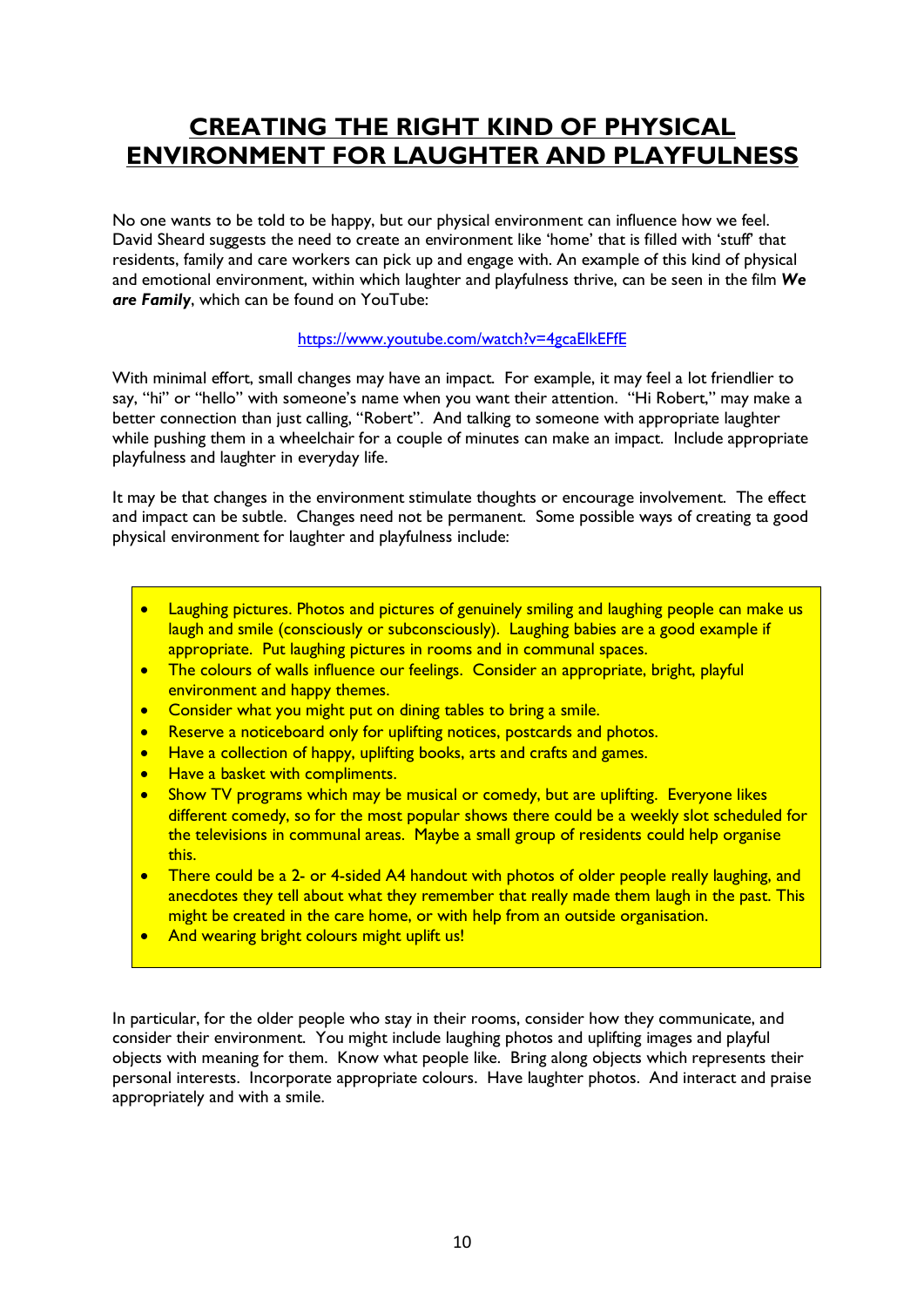### **CREATING THE RIGHT KIND OF PHYSICAL ENVIRONMENT FOR LAUGHTER AND PLAYFULNESS**

No one wants to be told to be happy, but our physical environment can influence how we feel. David Sheard suggests the need to create an environment like 'home' that is filled with 'stuff' that residents, family and care workers can pick up and engage with. An example of this kind of physical and emotional environment, within which laughter and playfulness thrive, can be seen in the film *We are Family*, which can be found on YouTube:

#### https://www.youtube.com/watch?v=4gcaElkEFfE

With minimal effort, small changes may have an impact. For example, it may feel a lot friendlier to say, "hi" or "hello" with someone's name when you want their attention. "Hi Robert," may make a better connection than just calling, "Robert". And talking to someone with appropriate laughter while pushing them in a wheelchair for a couple of minutes can make an impact. Include appropriate playfulness and laughter in everyday life.

It may be that changes in the environment stimulate thoughts or encourage involvement. The effect and impact can be subtle. Changes need not be permanent. Some possible ways of creating ta good physical environment for laughter and playfulness include:

- Laughing pictures. Photos and pictures of genuinely smiling and laughing people can make us laugh and smile (consciously or subconsciously). Laughing babies are a good example if appropriate. Put laughing pictures in rooms and in communal spaces.
- The colours of walls influence our feelings. Consider an appropriate, bright, playful environment and happy themes.
- Consider what you might put on dining tables to bring a smile.
- Reserve a noticeboard only for uplifting notices, postcards and photos.
- Have a collection of happy, uplifting books, arts and crafts and games.
- Have a basket with compliments.
- Show TV programs which may be musical or comedy, but are uplifting. Everyone likes different comedy, so for the most popular shows there could be a weekly slot scheduled for the televisions in communal areas. Maybe a small group of residents could help organise this.
- There could be a 2- or 4-sided A4 handout with photos of older people really laughing, and anecdotes they tell about what they remember that really made them laugh in the past. This might be created in the care home, or with help from an outside organisation.
- And wearing bright colours might uplift us!

In particular, for the older people who stay in their rooms, consider how they communicate, and consider their environment. You might include laughing photos and uplifting images and playful objects with meaning for them. Know what people like. Bring along objects which represents their personal interests. Incorporate appropriate colours. Have laughter photos. And interact and praise appropriately and with a smile.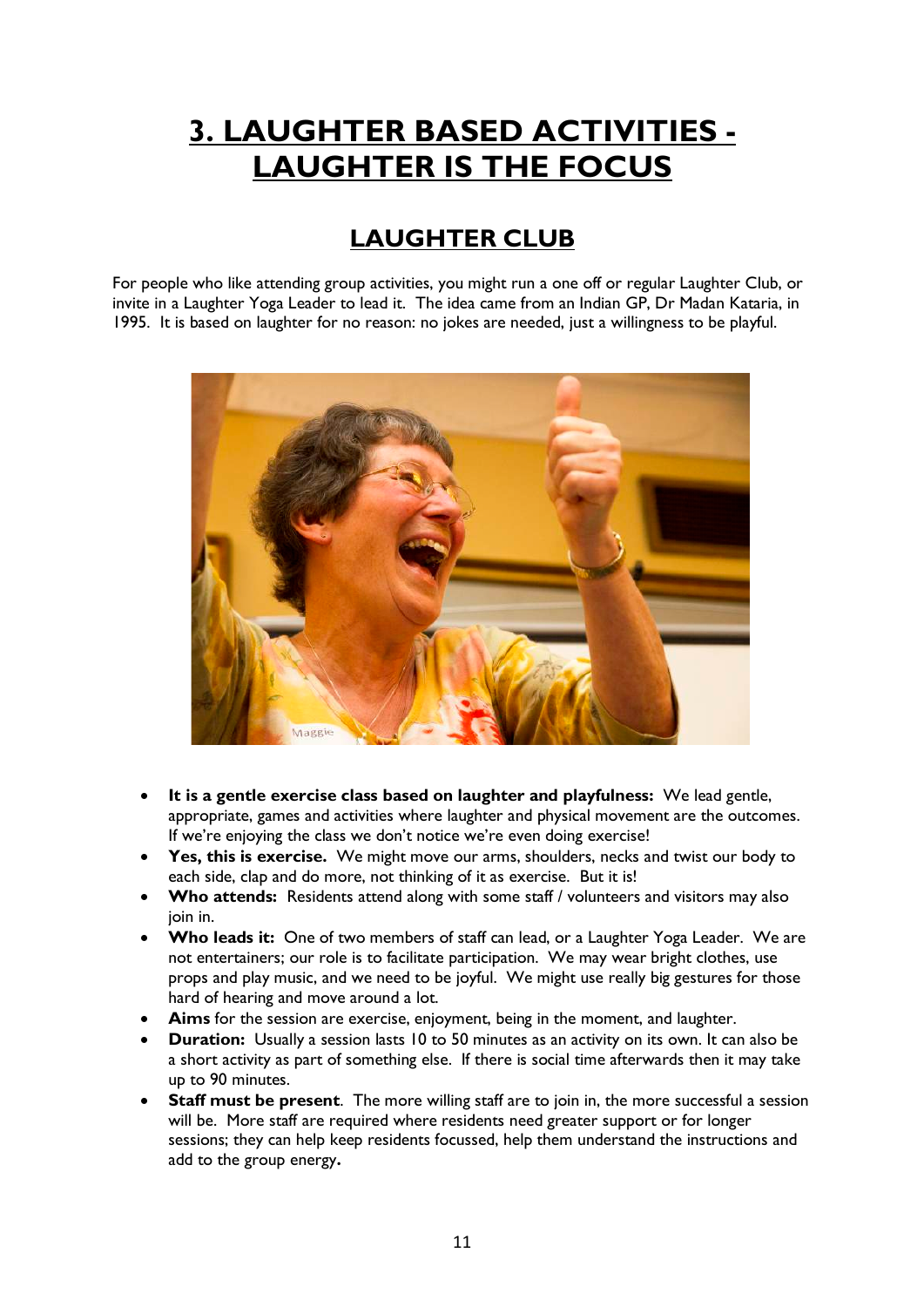# **3. LAUGHTER BASED ACTIVITIES - LAUGHTER IS THE FOCUS**

### **LAUGHTER CLUB**

For people who like attending group activities, you might run a one off or regular Laughter Club, or invite in a Laughter Yoga Leader to lead it. The idea came from an Indian GP, Dr Madan Kataria, in 1995. It is based on laughter for no reason: no jokes are needed, just a willingness to be playful.



- **It is a gentle exercise class based on laughter and playfulness:** We lead gentle, appropriate, games and activities where laughter and physical movement are the outcomes. If we're enjoying the class we don't notice we're even doing exercise!
- **Yes, this is exercise.** We might move our arms, shoulders, necks and twist our body to each side, clap and do more, not thinking of it as exercise. But it is!
- **Who attends:** Residents attend along with some staff / volunteers and visitors may also join in.
- **Who leads it:** One of two members of staff can lead, or a Laughter Yoga Leader. We are not entertainers; our role is to facilitate participation. We may wear bright clothes, use props and play music, and we need to be joyful. We might use really big gestures for those hard of hearing and move around a lot.
- **Aims** for the session are exercise, enjoyment, being in the moment, and laughter.
- **Duration:** Usually a session lasts 10 to 50 minutes as an activity on its own. It can also be a short activity as part of something else. If there is social time afterwards then it may take up to 90 minutes.
- **Staff must be present**. The more willing staff are to join in, the more successful a session will be. More staff are required where residents need greater support or for longer sessions; they can help keep residents focussed, help them understand the instructions and add to the group energy**.**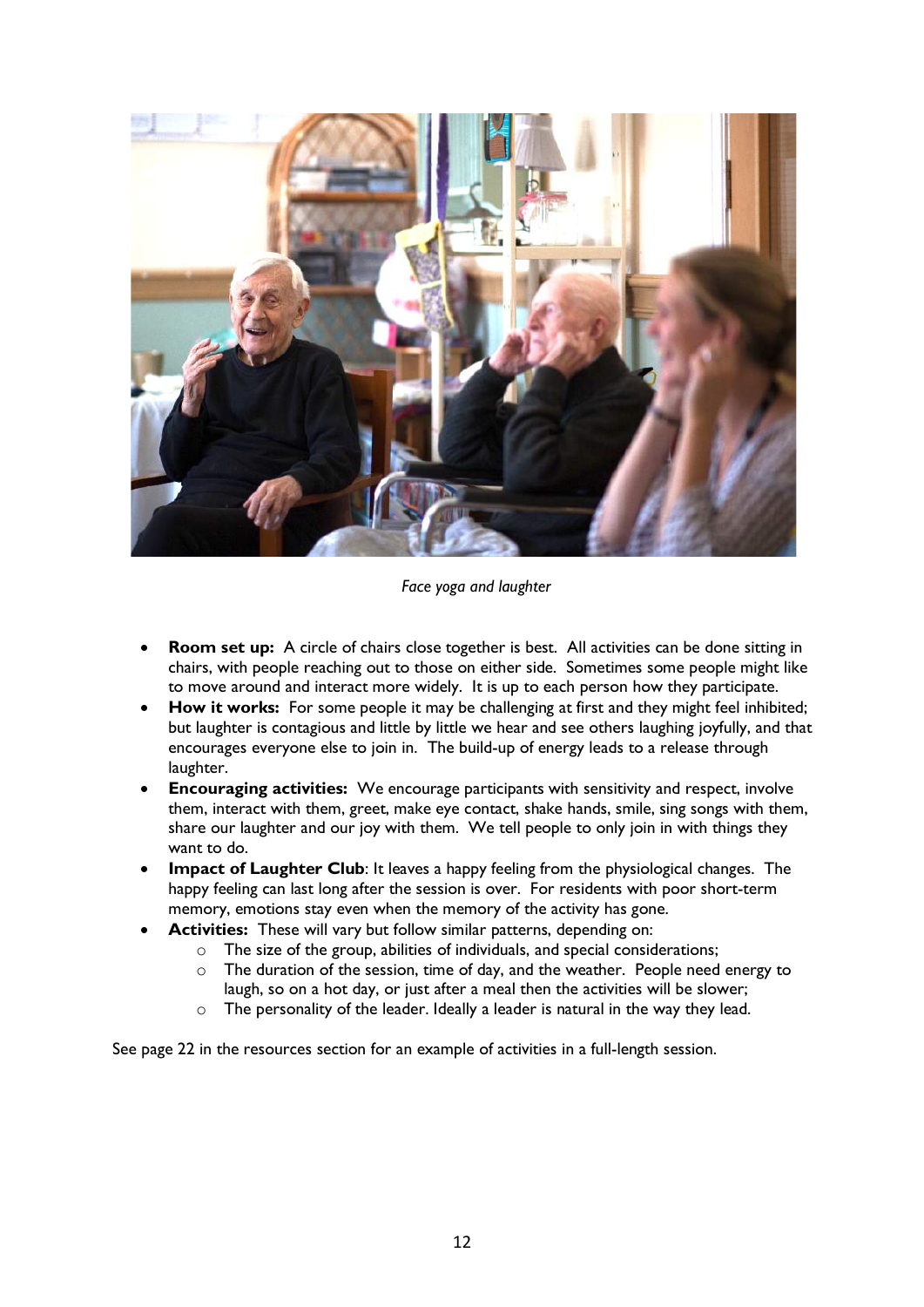

*Face yoga and laughter*

- **Room set up:** A circle of chairs close together is best. All activities can be done sitting in chairs, with people reaching out to those on either side. Sometimes some people might like to move around and interact more widely. It is up to each person how they participate.
- **How it works:** For some people it may be challenging at first and they might feel inhibited; but laughter is contagious and little by little we hear and see others laughing joyfully, and that encourages everyone else to join in. The build-up of energy leads to a release through laughter.
- **Encouraging activities:** We encourage participants with sensitivity and respect, involve them, interact with them, greet, make eye contact, shake hands, smile, sing songs with them, share our laughter and our joy with them. We tell people to only join in with things they want to do.
- **Impact of Laughter Club**: It leaves a happy feeling from the physiological changes. The happy feeling can last long after the session is over. For residents with poor short-term memory, emotions stay even when the memory of the activity has gone.
- **Activities:** These will vary but follow similar patterns, depending on:
	- o The size of the group, abilities of individuals, and special considerations;
	- $\circ$  The duration of the session, time of day, and the weather. People need energy to laugh, so on a hot day, or just after a meal then the activities will be slower;
	- o The personality of the leader. Ideally a leader is natural in the way they lead.

See page 22 in the resources section for an example of activities in a full-length session.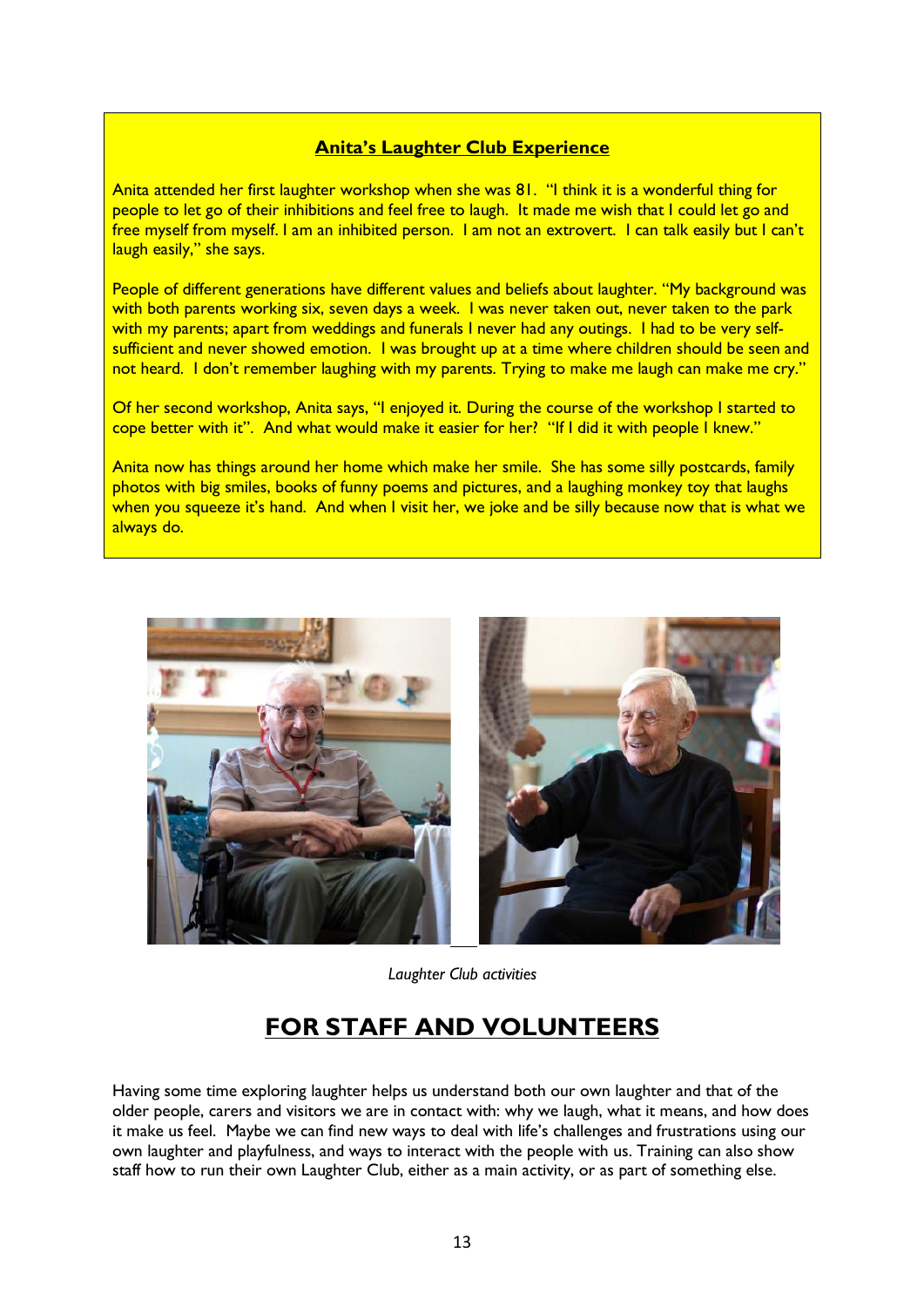### **Anita's Laughter Club Experience**

Anita attended her first laughter workshop when she was 81. "I think it is a wonderful thing for people to let go of their inhibitions and feel free to laugh. It made me wish that I could let go and free myself from myself. I am an inhibited person. I am not an extrovert. I can talk easily but I can't laugh easily," she says.

People of different generations have different values and beliefs about laughter. "My background was with both parents working six, seven days a week. I was never taken out, never taken to the park with my parents; apart from weddings and funerals I never had any outings. I had to be very selfsufficient and never showed emotion. I was brought up at a time where children should be seen and not heard. I don't remember laughing with my parents. Trying to make me laugh can make me cry."

Of her second workshop, Anita says, "I enjoyed it. During the course of the workshop I started to cope better with it". And what would make it easier for her? "If I did it with people I knew."

Anita now has things around her home which make her smile. She has some silly postcards, family photos with big smiles, books of funny poems and pictures, and a laughing monkey toy that laughs when you squeeze it's hand. And when I visit her, we joke and be silly because now that is what we always do.



*Laughter Club activities*

### **FOR STAFF AND VOLUNTEERS**

Having some time exploring laughter helps us understand both our own laughter and that of the older people, carers and visitors we are in contact with: why we laugh, what it means, and how does it make us feel. Maybe we can find new ways to deal with life's challenges and frustrations using our own laughter and playfulness, and ways to interact with the people with us. Training can also show staff how to run their own Laughter Club, either as a main activity, or as part of something else.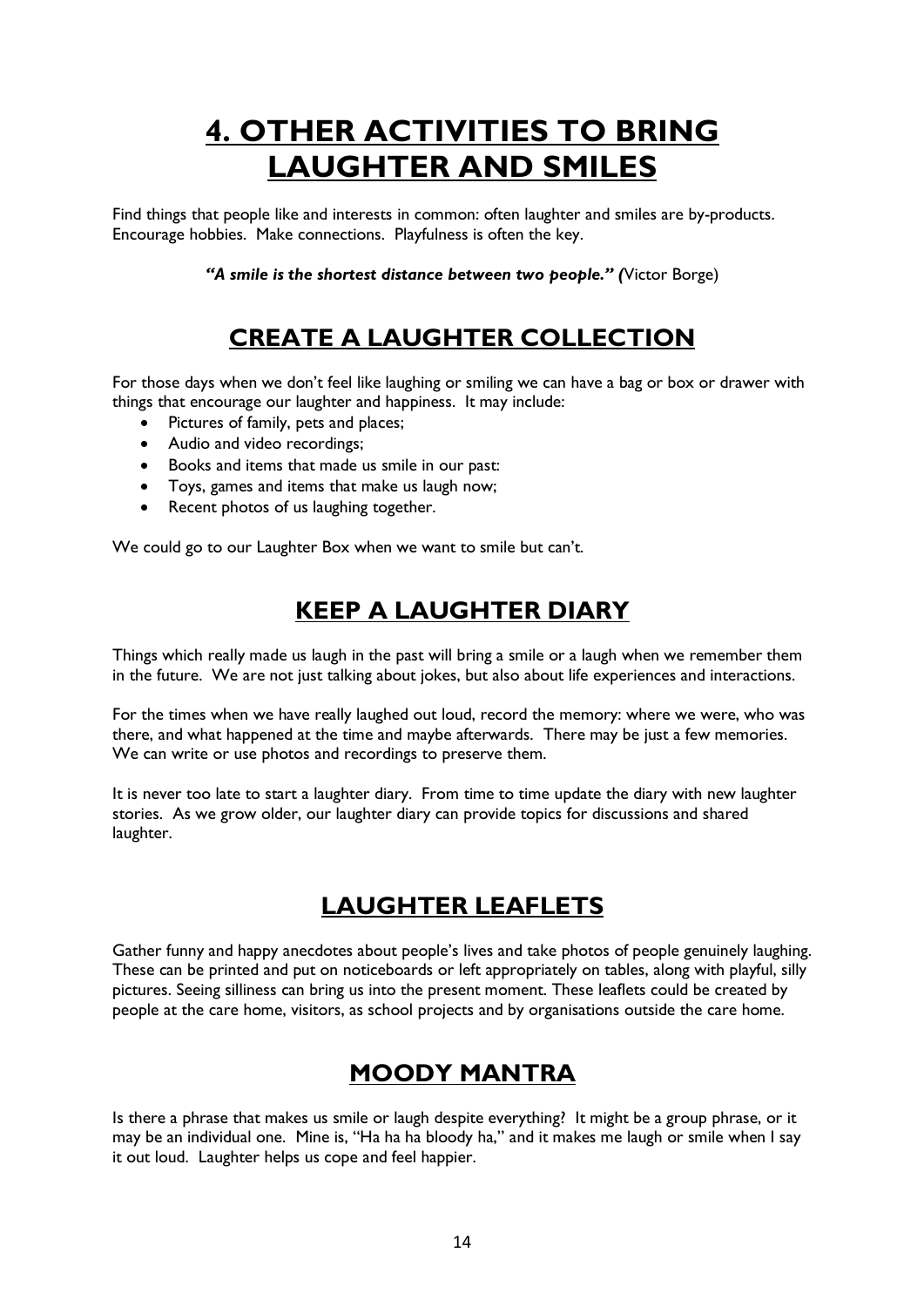# **4. OTHER ACTIVITIES TO BRING LAUGHTER AND SMILES**

Find things that people like and interests in common: often laughter and smiles are by-products. Encourage hobbies. Make connections. Playfulness is often the key.

*"A smile is the shortest distance between two people." (*Victor Borge)

### **CREATE A LAUGHTER COLLECTION**

For those days when we don't feel like laughing or smiling we can have a bag or box or drawer with things that encourage our laughter and happiness. It may include:

- Pictures of family, pets and places;
- Audio and video recordings;
- Books and items that made us smile in our past:
- Toys, games and items that make us laugh now;
- Recent photos of us laughing together.

We could go to our Laughter Box when we want to smile but can't.

### **KEEP A LAUGHTER DIARY**

Things which really made us laugh in the past will bring a smile or a laugh when we remember them in the future. We are not just talking about jokes, but also about life experiences and interactions.

For the times when we have really laughed out loud, record the memory: where we were, who was there, and what happened at the time and maybe afterwards. There may be just a few memories. We can write or use photos and recordings to preserve them.

It is never too late to start a laughter diary. From time to time update the diary with new laughter stories. As we grow older, our laughter diary can provide topics for discussions and shared laughter.

### **LAUGHTER LEAFLETS**

Gather funny and happy anecdotes about people's lives and take photos of people genuinely laughing. These can be printed and put on noticeboards or left appropriately on tables, along with playful, silly pictures. Seeing silliness can bring us into the present moment. These leaflets could be created by people at the care home, visitors, as school projects and by organisations outside the care home.

### **MOODY MANTRA**

Is there a phrase that makes us smile or laugh despite everything? It might be a group phrase, or it may be an individual one. Mine is, "Ha ha ha bloody ha," and it makes me laugh or smile when I say it out loud. Laughter helps us cope and feel happier.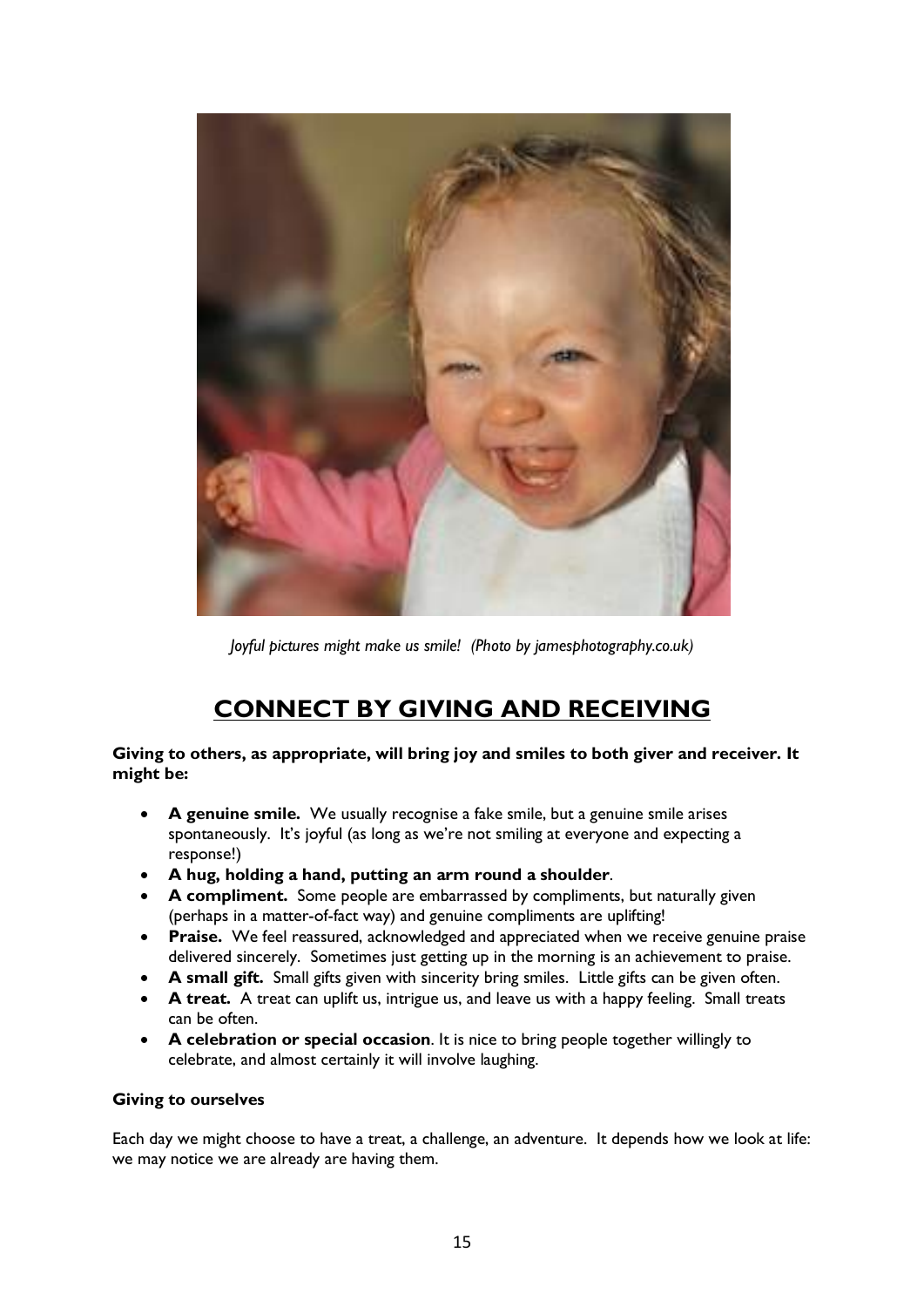

*Joyful pictures might make us smile! (Photo by jamesphotography.co.uk)*

### **CONNECT BY GIVING AND RECEIVING**

**Giving to others, as appropriate, will bring joy and smiles to both giver and receiver. It might be:**

- **A genuine smile.** We usually recognise a fake smile, but a genuine smile arises spontaneously. It's joyful (as long as we're not smiling at everyone and expecting a response!)
- **A hug, holding a hand, putting an arm round a shoulder**.
- **A compliment.** Some people are embarrassed by compliments, but naturally given (perhaps in a matter-of-fact way) and genuine compliments are uplifting!
- **Praise.** We feel reassured, acknowledged and appreciated when we receive genuine praise delivered sincerely. Sometimes just getting up in the morning is an achievement to praise.
- **A small gift.** Small gifts given with sincerity bring smiles. Little gifts can be given often.
- **A treat.** A treat can uplift us, intrigue us, and leave us with a happy feeling. Small treats can be often.
- **A celebration or special occasion**. It is nice to bring people together willingly to celebrate, and almost certainly it will involve laughing.

#### **Giving to ourselves**

Each day we might choose to have a treat, a challenge, an adventure. It depends how we look at life: we may notice we are already are having them.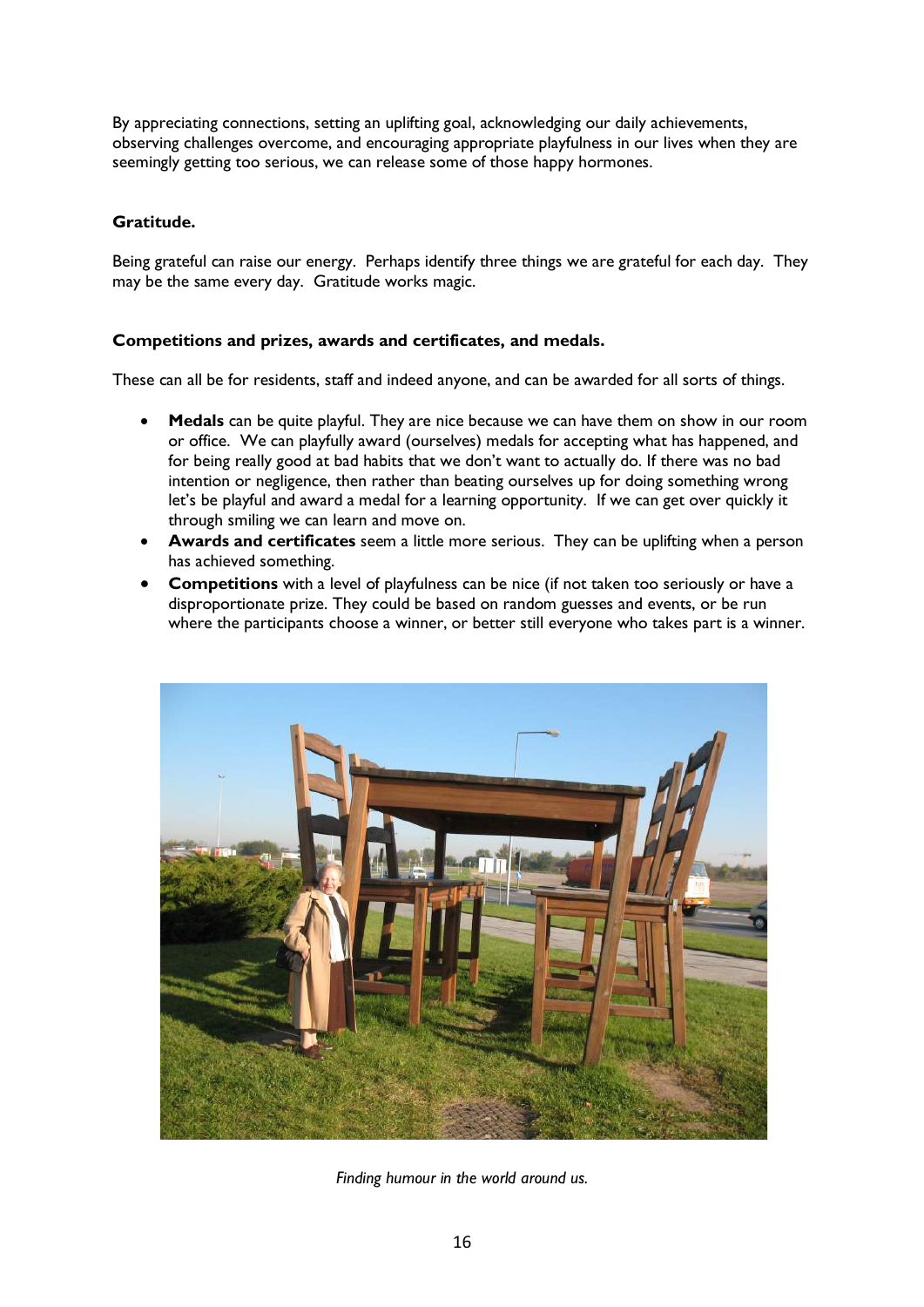By appreciating connections, setting an uplifting goal, acknowledging our daily achievements, observing challenges overcome, and encouraging appropriate playfulness in our lives when they are seemingly getting too serious, we can release some of those happy hormones.

### **Gratitude.**

Being grateful can raise our energy. Perhaps identify three things we are grateful for each day. They may be the same every day. Gratitude works magic.

#### **Competitions and prizes, awards and certificates, and medals.**

These can all be for residents, staff and indeed anyone, and can be awarded for all sorts of things.

- **Medals** can be quite playful. They are nice because we can have them on show in our room or office. We can playfully award (ourselves) medals for accepting what has happened, and for being really good at bad habits that we don't want to actually do. If there was no bad intention or negligence, then rather than beating ourselves up for doing something wrong let's be playful and award a medal for a learning opportunity. If we can get over quickly it through smiling we can learn and move on.
- **Awards and certificates** seem a little more serious. They can be uplifting when a person has achieved something.
- **Competitions** with a level of playfulness can be nice (if not taken too seriously or have a disproportionate prize. They could be based on random guesses and events, or be run where the participants choose a winner, or better still everyone who takes part is a winner.



*Finding humour in the world around us.*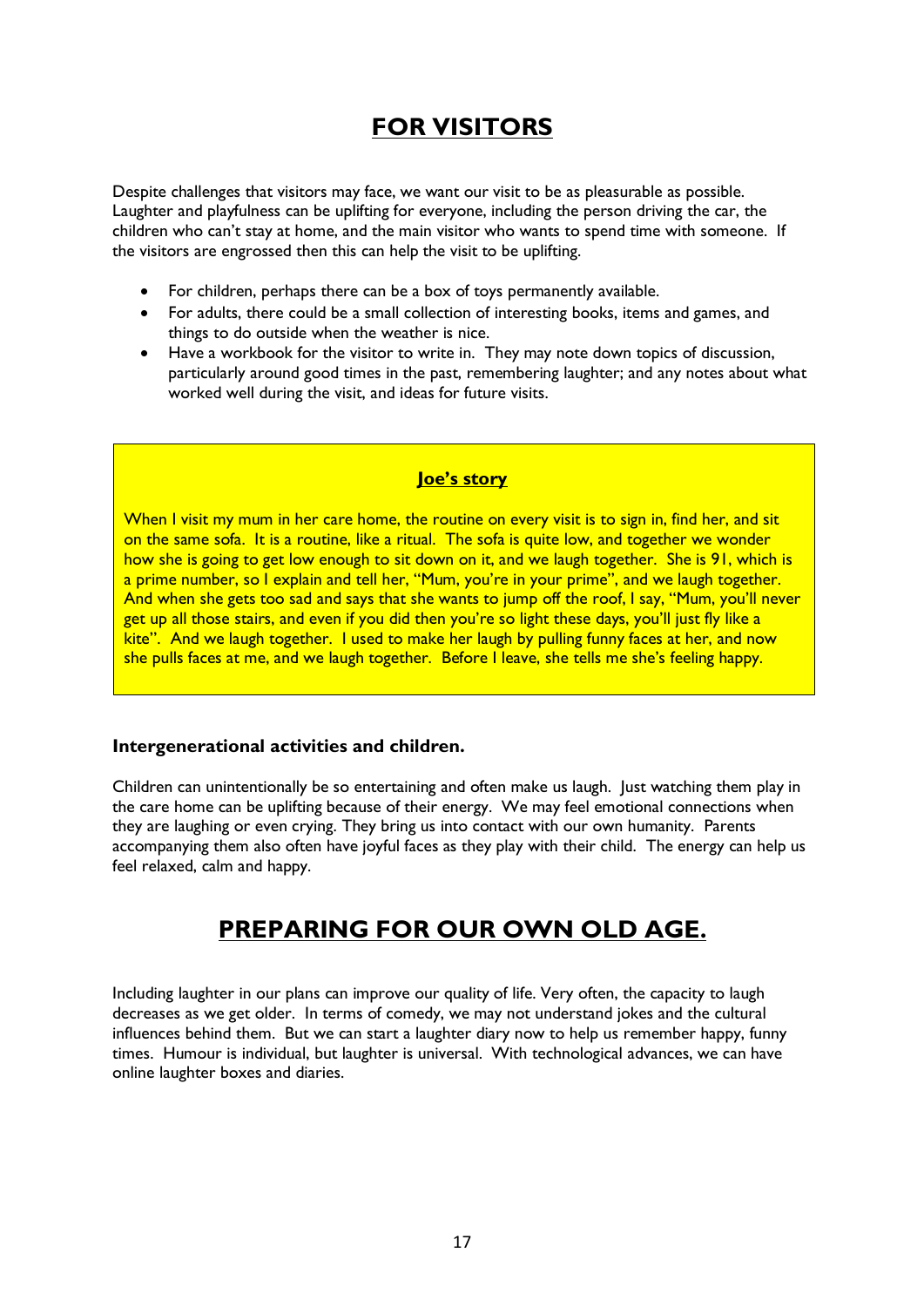### **FOR VISITORS**

Despite challenges that visitors may face, we want our visit to be as pleasurable as possible. Laughter and playfulness can be uplifting for everyone, including the person driving the car, the children who can't stay at home, and the main visitor who wants to spend time with someone. If the visitors are engrossed then this can help the visit to be uplifting.

- For children, perhaps there can be a box of toys permanently available.
- For adults, there could be a small collection of interesting books, items and games, and things to do outside when the weather is nice.
- Have a workbook for the visitor to write in. They may note down topics of discussion, particularly around good times in the past, remembering laughter; and any notes about what worked well during the visit, and ideas for future visits.

### **Joe's story**

When I visit my mum in her care home, the routine on every visit is to sign in, find her, and sit on the same sofa. It is a routine, like a ritual. The sofa is quite low, and together we wonder how she is going to get low enough to sit down on it, and we laugh together. She is 91, which is a prime number, so I explain and tell her, "Mum, you're in your prime", and we laugh together. And when she gets too sad and says that she wants to jump off the roof, I say, "Mum, you'll never get up all those stairs, and even if you did then you're so light these days, you'll just fly like a kite". And we laugh together. I used to make her laugh by pulling funny faces at her, and now she pulls faces at me, and we laugh together. Before I leave, she tells me she's feeling happy.

### **Intergenerational activities and children.**

Children can unintentionally be so entertaining and often make us laugh. Just watching them play in the care home can be uplifting because of their energy. We may feel emotional connections when they are laughing or even crying. They bring us into contact with our own humanity. Parents accompanying them also often have joyful faces as they play with their child. The energy can help us feel relaxed, calm and happy.

### **PREPARING FOR OUR OWN OLD AGE.**

Including laughter in our plans can improve our quality of life. Very often, the capacity to laugh decreases as we get older. In terms of comedy, we may not understand jokes and the cultural influences behind them. But we can start a laughter diary now to help us remember happy, funny times. Humour is individual, but laughter is universal. With technological advances, we can have online laughter boxes and diaries.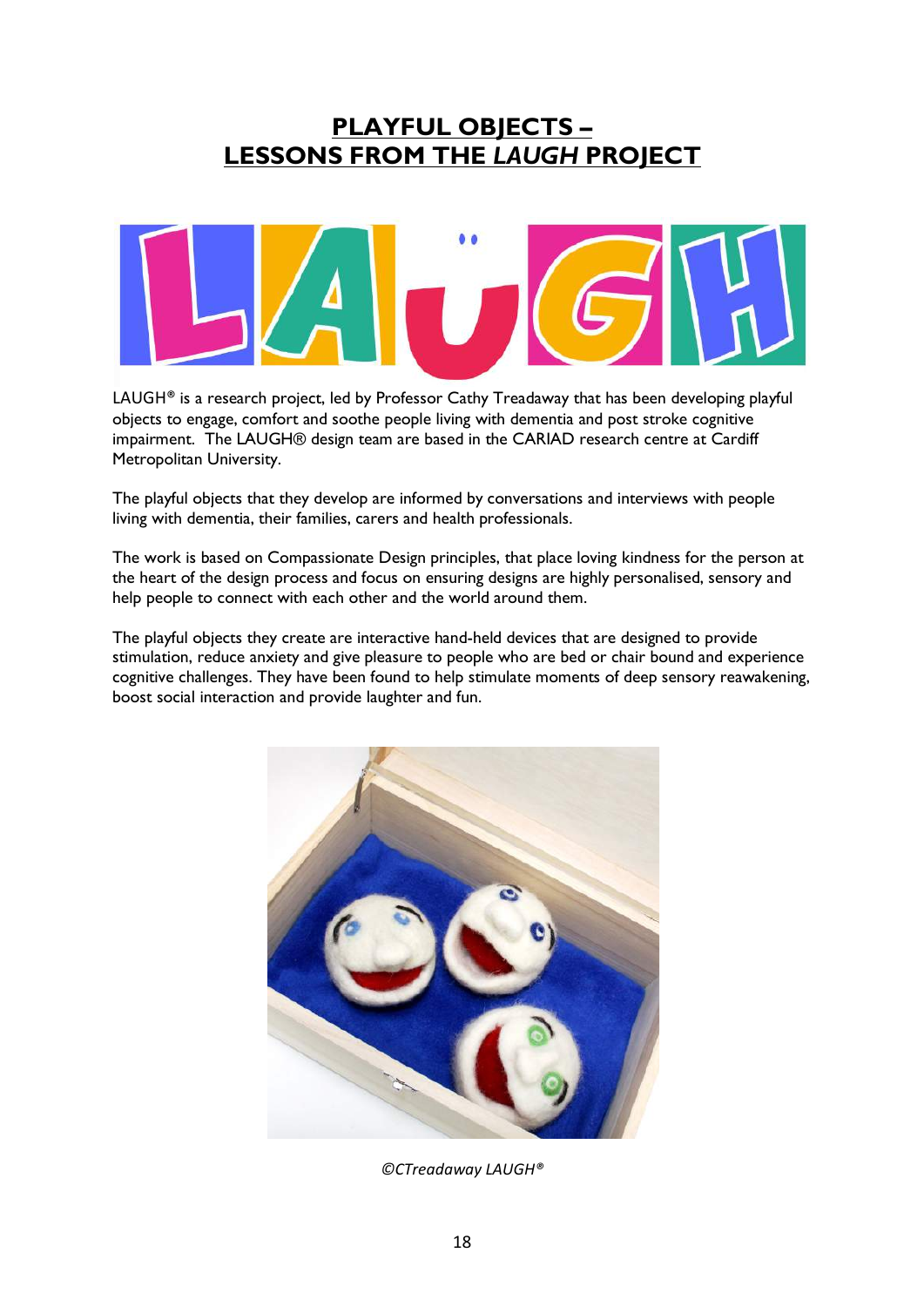### **PLAYFUL OBJECTS – LESSONS FROM THE** *LAUGH* **PROJECT**



LAUGH<sup>®</sup> is a research project, led by Professor Cathy Treadaway that has been developing playful objects to engage, comfort and soothe people living with dementia and post stroke cognitive impairment. The LAUGH® design team are based in the CARIAD research centre at Cardiff Metropolitan University.

The playful objects that they develop are informed by conversations and interviews with people living with dementia, their families, carers and health professionals.

The work is based on Compassionate Design principles, that place loving kindness for the person at the heart of the design process and focus on ensuring designs are highly personalised, sensory and help people to connect with each other and the world around them.

The playful objects they create are interactive hand-held devices that are designed to provide stimulation, reduce anxiety and give pleasure to people who are bed or chair bound and experience cognitive challenges. They have been found to help stimulate moments of deep sensory reawakening, boost social interaction and provide laughter and fun.



*©CTreadaway LAUGH®*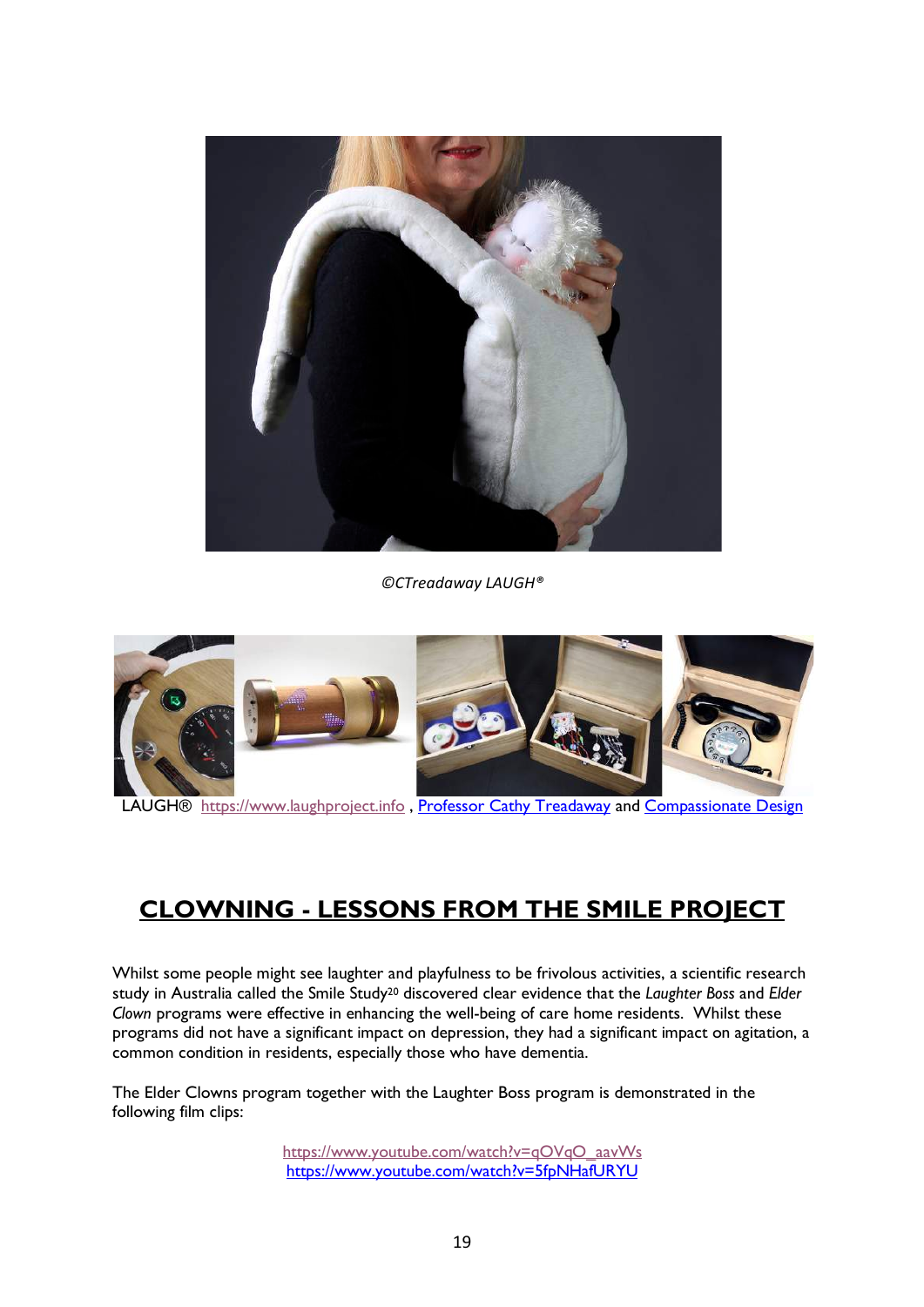

*©CTreadaway LAUGH®*



LAUGH® https://www.laughproject.info, Professor Cathy Treadaway and Compassionate Design

### **CLOWNING - LESSONS FROM THE SMILE PROJECT**

Whilst some people might see laughter and playfulness to be frivolous activities, a scientific research study in Australia called the Smile Study20 discovered clear evidence that the *Laughter Boss* and *Elder Clown* programs were effective in enhancing the well-being of care home residents. Whilst these programs did not have a significant impact on depression, they had a significant impact on agitation, a common condition in residents, especially those who have dementia.

The Elder Clowns program together with the Laughter Boss program is demonstrated in the following film clips:

> https://www.youtube.com/watch?v=qOVqO\_aavWs https://www.youtube.com/watch?v=5fpNHafURYU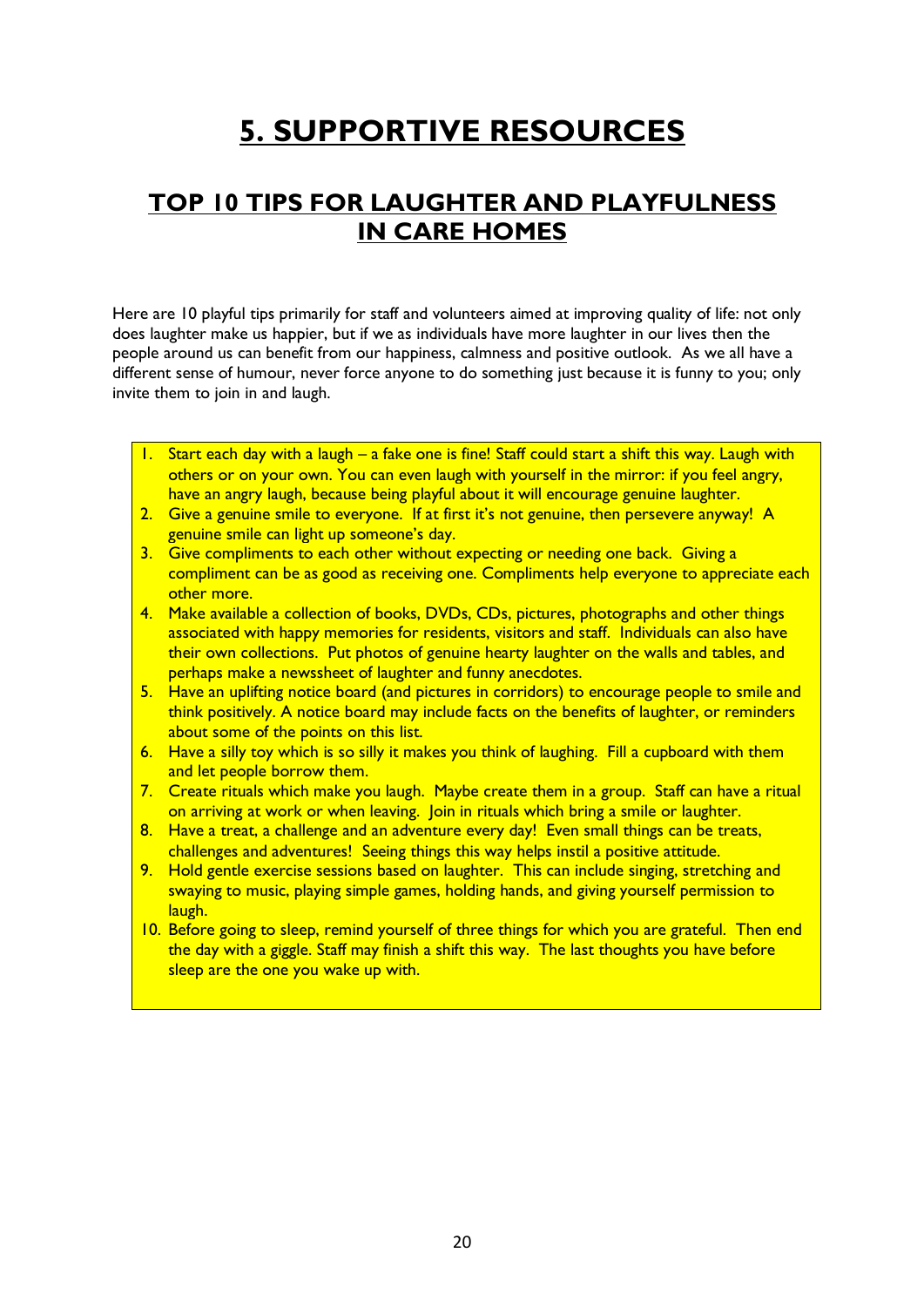# **5. SUPPORTIVE RESOURCES**

### **TOP 10 TIPS FOR LAUGHTER AND PLAYFULNESS IN CARE HOMES**

Here are 10 playful tips primarily for staff and volunteers aimed at improving quality of life: not only does laughter make us happier, but if we as individuals have more laughter in our lives then the people around us can benefit from our happiness, calmness and positive outlook. As we all have a different sense of humour, never force anyone to do something just because it is funny to you; only invite them to join in and laugh.

- 1. Start each day with a laugh a fake one is fine! Staff could start a shift this way. Laugh with others or on your own. You can even laugh with yourself in the mirror: if you feel angry, have an angry laugh, because being playful about it will encourage genuine laughter.
- 2. Give a genuine smile to everyone. If at first it's not genuine, then persevere anyway! A genuine smile can light up someone's day.
- 3. Give compliments to each other without expecting or needing one back. Giving a compliment can be as good as receiving one. Compliments help everyone to appreciate each other more.
- 4. Make available a collection of books, DVDs, CDs, pictures, photographs and other things associated with happy memories for residents, visitors and staff. Individuals can also have their own collections. Put photos of genuine hearty laughter on the walls and tables, and perhaps make a newssheet of laughter and funny anecdotes.
- 5. Have an uplifting notice board (and pictures in corridors) to encourage people to smile and think positively. A notice board may include facts on the benefits of laughter, or reminders about some of the points on this list.
- 6. Have a silly toy which is so silly it makes you think of laughing. Fill a cupboard with them and let people borrow them.
- 7. Create rituals which make you laugh. Maybe create them in a group. Staff can have a ritual on arriving at work or when leaving. Join in rituals which bring a smile or laughter.
- 8. Have a treat, a challenge and an adventure every day! Even small things can be treats, challenges and adventures! Seeing things this way helps instil a positive attitude.
- 9. Hold gentle exercise sessions based on laughter. This can include singing, stretching and swaying to music, playing simple games, holding hands, and giving yourself permission to laugh.
- 10. Before going to sleep, remind yourself of three things for which you are grateful. Then end the day with a giggle. Staff may finish a shift this way. The last thoughts you have before sleep are the one you wake up with.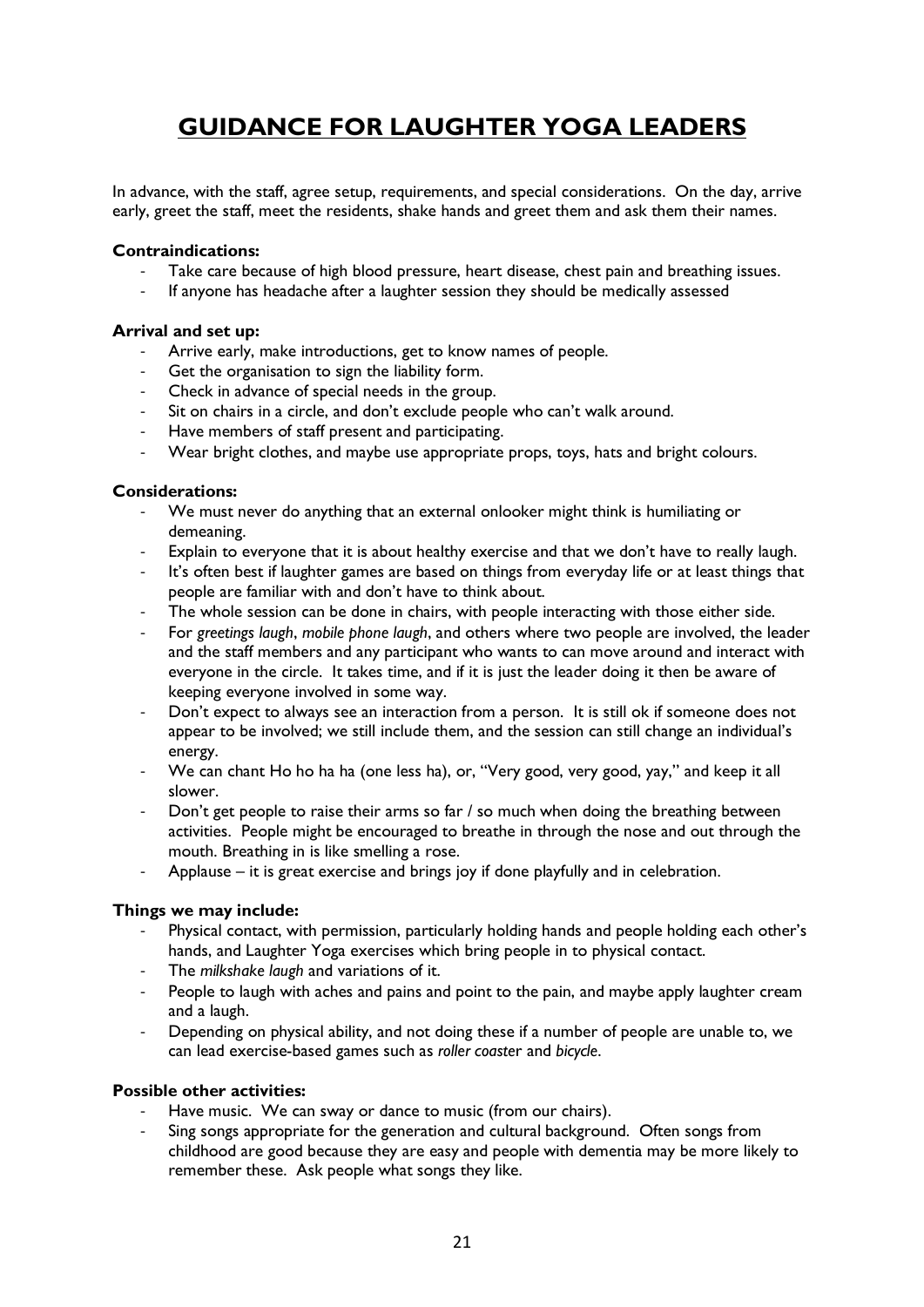### **GUIDANCE FOR LAUGHTER YOGA LEADERS**

In advance, with the staff, agree setup, requirements, and special considerations. On the day, arrive early, greet the staff, meet the residents, shake hands and greet them and ask them their names.

#### **Contraindications:**

- Take care because of high blood pressure, heart disease, chest pain and breathing issues.
- If anyone has headache after a laughter session they should be medically assessed

#### **Arrival and set up:**

- Arrive early, make introductions, get to know names of people.
- Get the organisation to sign the liability form.
- Check in advance of special needs in the group.
- Sit on chairs in a circle, and don't exclude people who can't walk around.
- Have members of staff present and participating.
- Wear bright clothes, and maybe use appropriate props, toys, hats and bright colours.

#### **Considerations:**

- We must never do anything that an external onlooker might think is humiliating or demeaning.
- Explain to everyone that it is about healthy exercise and that we don't have to really laugh.
- It's often best if laughter games are based on things from everyday life or at least things that people are familiar with and don't have to think about.
- The whole session can be done in chairs, with people interacting with those either side.
- For *greetings laugh*, *mobile phone laugh*, and others where two people are involved, the leader and the staff members and any participant who wants to can move around and interact with everyone in the circle. It takes time, and if it is just the leader doing it then be aware of keeping everyone involved in some way.
- Don't expect to always see an interaction from a person. It is still ok if someone does not appear to be involved; we still include them, and the session can still change an individual's energy.
- We can chant Ho ho ha ha (one less ha), or, "Very good, very good, yay," and keep it all slower.
- Don't get people to raise their arms so far / so much when doing the breathing between activities. People might be encouraged to breathe in through the nose and out through the mouth. Breathing in is like smelling a rose.
- Applause  $-$  it is great exercise and brings joy if done playfully and in celebration.

### **Things we may include:**

- Physical contact, with permission, particularly holding hands and people holding each other's hands, and Laughter Yoga exercises which bring people in to physical contact.
- The *milkshake laugh* and variations of it.
- People to laugh with aches and pains and point to the pain, and maybe apply laughter cream and a laugh.
- Depending on physical ability, and not doing these if a number of people are unable to, we can lead exercise-based games such as *roller coaste*r and *bicycle*.

#### **Possible other activities:**

- Have music. We can sway or dance to music (from our chairs).
- Sing songs appropriate for the generation and cultural background. Often songs from childhood are good because they are easy and people with dementia may be more likely to remember these. Ask people what songs they like.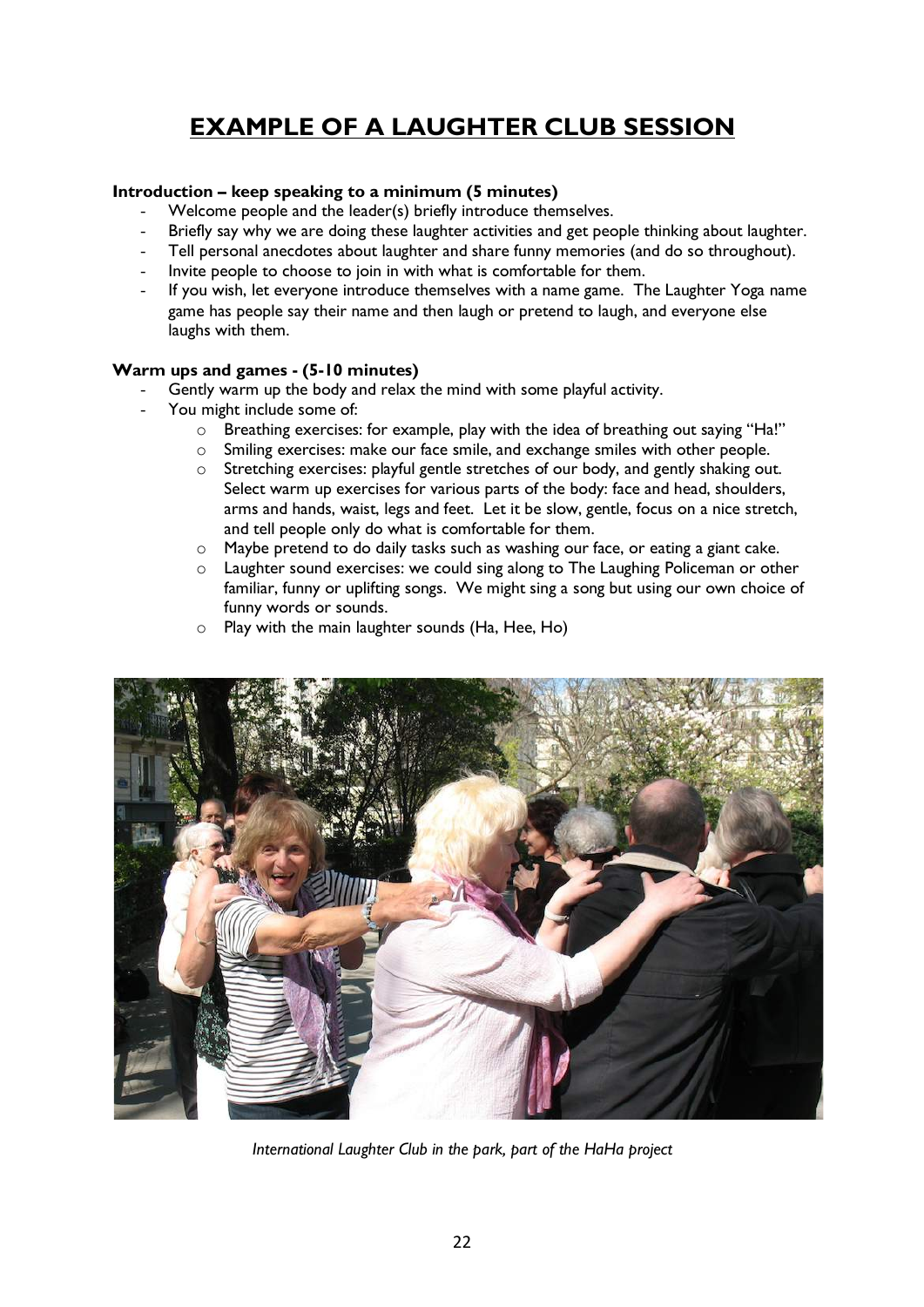### **EXAMPLE OF A LAUGHTER CLUB SESSION**

### **Introduction – keep speaking to a minimum (5 minutes)**

- Welcome people and the leader(s) briefly introduce themselves.
- Briefly say why we are doing these laughter activities and get people thinking about laughter.
- Tell personal anecdotes about laughter and share funny memories (and do so throughout).
- Invite people to choose to join in with what is comfortable for them.
- If you wish, let everyone introduce themselves with a name game. The Laughter Yoga name game has people say their name and then laugh or pretend to laugh, and everyone else laughs with them.

#### **Warm ups and games - (5-10 minutes)**

- Gently warm up the body and relax the mind with some playful activity.
- You might include some of:
	- $\circ$  Breathing exercises: for example, play with the idea of breathing out saying "Ha!"
		- o Smiling exercises: make our face smile, and exchange smiles with other people.
		- $\circ$  Stretching exercises: playful gentle stretches of our body, and gently shaking out. Select warm up exercises for various parts of the body: face and head, shoulders, arms and hands, waist, legs and feet. Let it be slow, gentle, focus on a nice stretch, and tell people only do what is comfortable for them.
		- o Maybe pretend to do daily tasks such as washing our face, or eating a giant cake.
		- o Laughter sound exercises: we could sing along to The Laughing Policeman or other familiar, funny or uplifting songs. We might sing a song but using our own choice of funny words or sounds.
		- o Play with the main laughter sounds (Ha, Hee, Ho)



*International Laughter Club in the park, part of the HaHa project*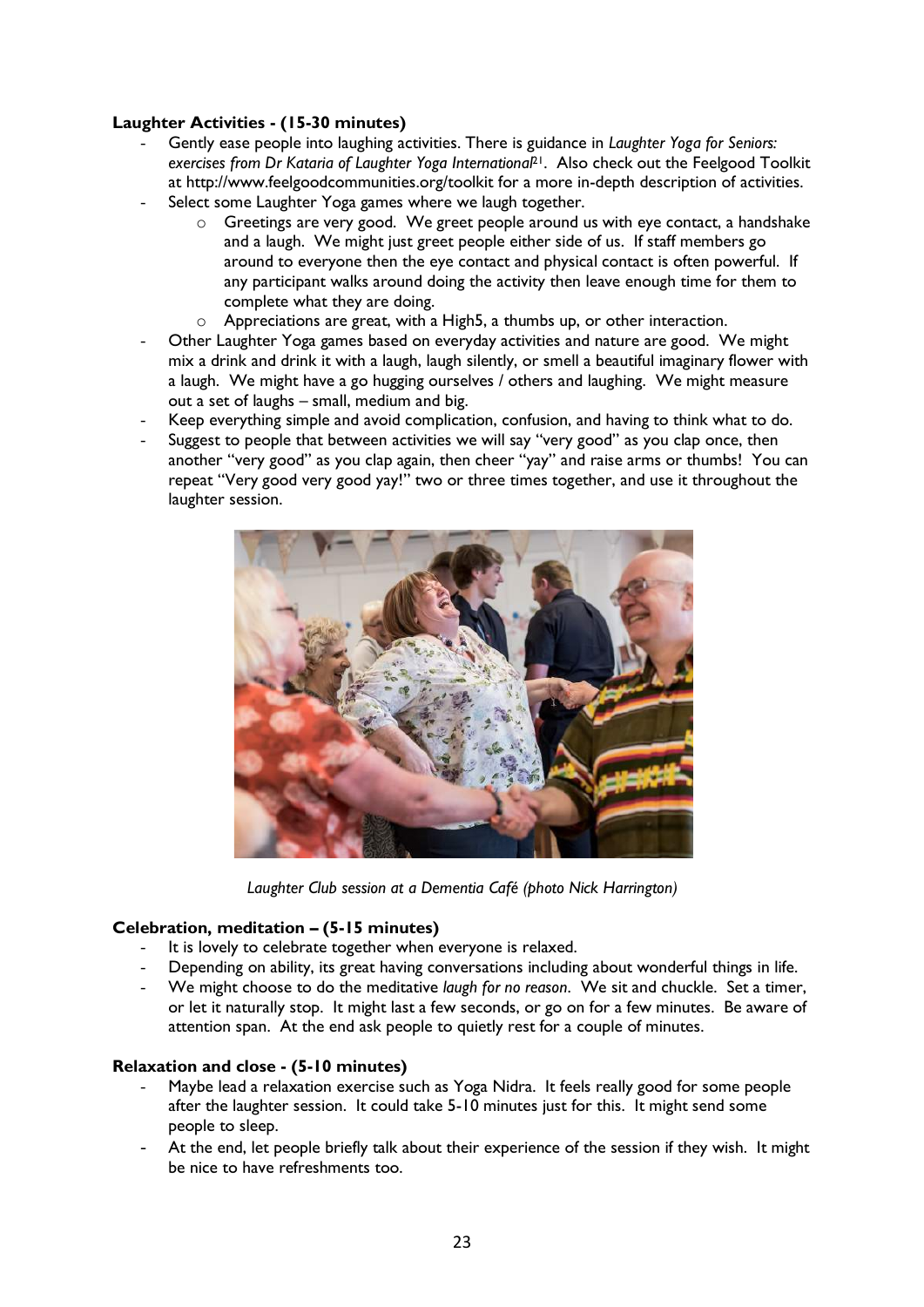### **Laughter Activities - (15-30 minutes)**

- Gently ease people into laughing activities. There is guidance in *Laughter Yoga for Seniors: exercises from Dr Kataria of Laughter Yoga International*21. Also check out the Feelgood Toolkit at http://www.feelgoodcommunities.org/toolkit for a more in-depth description of activities.
- Select some Laughter Yoga games where we laugh together.
	- o Greetings are very good. We greet people around us with eye contact, a handshake and a laugh. We might just greet people either side of us. If staff members go around to everyone then the eye contact and physical contact is often powerful. If any participant walks around doing the activity then leave enough time for them to complete what they are doing.
	- o Appreciations are great, with a High5, a thumbs up, or other interaction.
- Other Laughter Yoga games based on everyday activities and nature are good. We might mix a drink and drink it with a laugh, laugh silently, or smell a beautiful imaginary flower with a laugh. We might have a go hugging ourselves / others and laughing. We might measure out a set of laughs – small, medium and big.
- Keep everything simple and avoid complication, confusion, and having to think what to do.
- Suggest to people that between activities we will say "very good" as you clap once, then another "very good" as you clap again, then cheer "yay" and raise arms or thumbs! You can repeat "Very good very good yay!" two or three times together, and use it throughout the laughter session.



*Laughter Club session at a Dementia Café (photo Nick Harrington)*

#### **Celebration, meditation – (5-15 minutes)**

- It is lovely to celebrate together when everyone is relaxed.
- Depending on ability, its great having conversations including about wonderful things in life.
- We might choose to do the meditative *laugh for no reason*. We sit and chuckle. Set a timer, or let it naturally stop. It might last a few seconds, or go on for a few minutes. Be aware of attention span. At the end ask people to quietly rest for a couple of minutes.

#### **Relaxation and close - (5-10 minutes)**

- Maybe lead a relaxation exercise such as Yoga Nidra. It feels really good for some people after the laughter session. It could take 5-10 minutes just for this. It might send some people to sleep.
- At the end, let people briefly talk about their experience of the session if they wish. It might be nice to have refreshments too.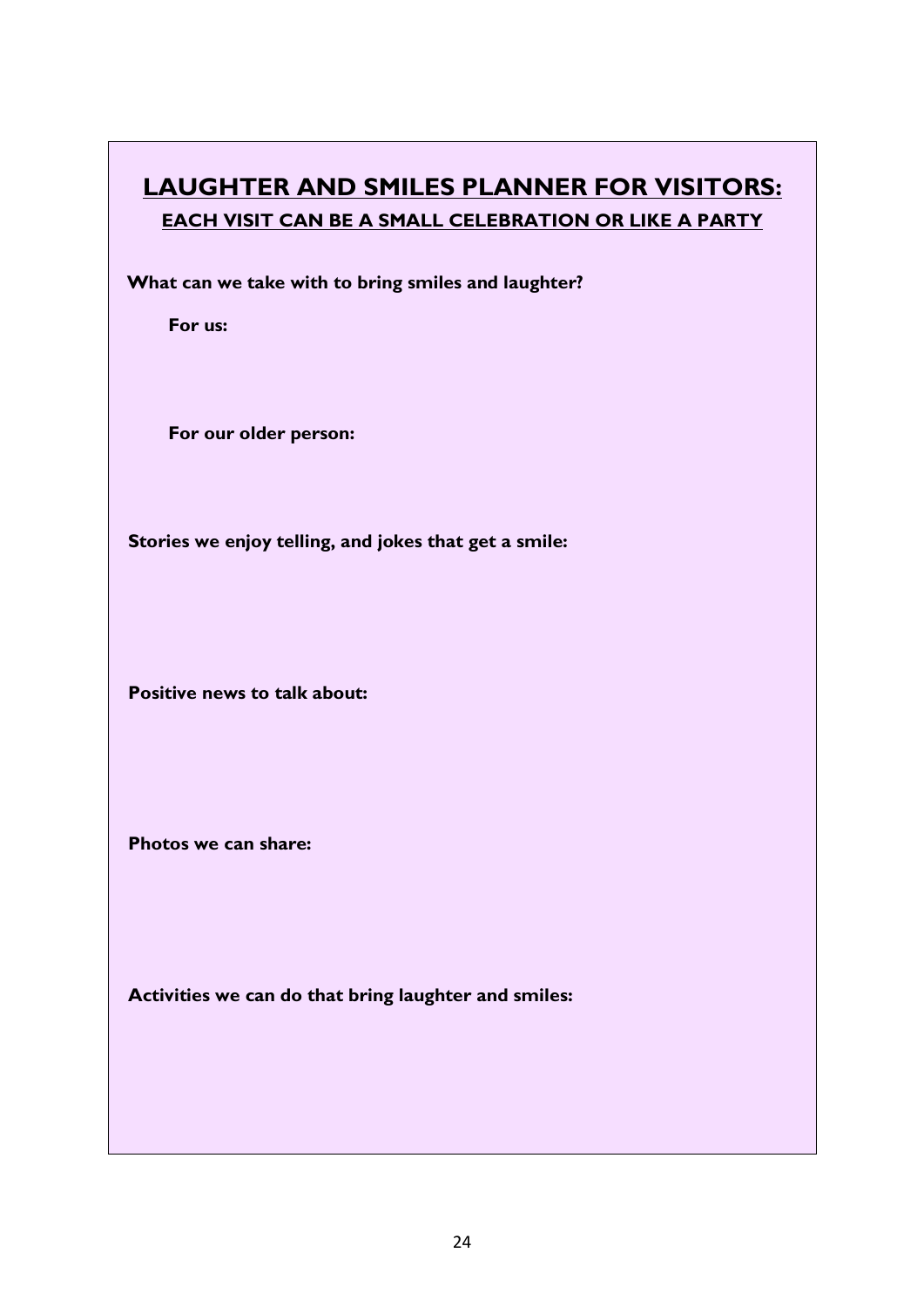### **LAUGHTER AND SMILES PLANNER FOR VISITORS: EACH VISIT CAN BE A SMALL CELEBRATION OR LIKE A PARTY**

 **What can we take with to bring smiles and laughter?**

**For us:**

**For our older person:**

 **Stories we enjoy telling, and jokes that get a smile:**

 **Positive news to talk about:** 

 **Photos we can share:**

 **Activities we can do that bring laughter and smiles:**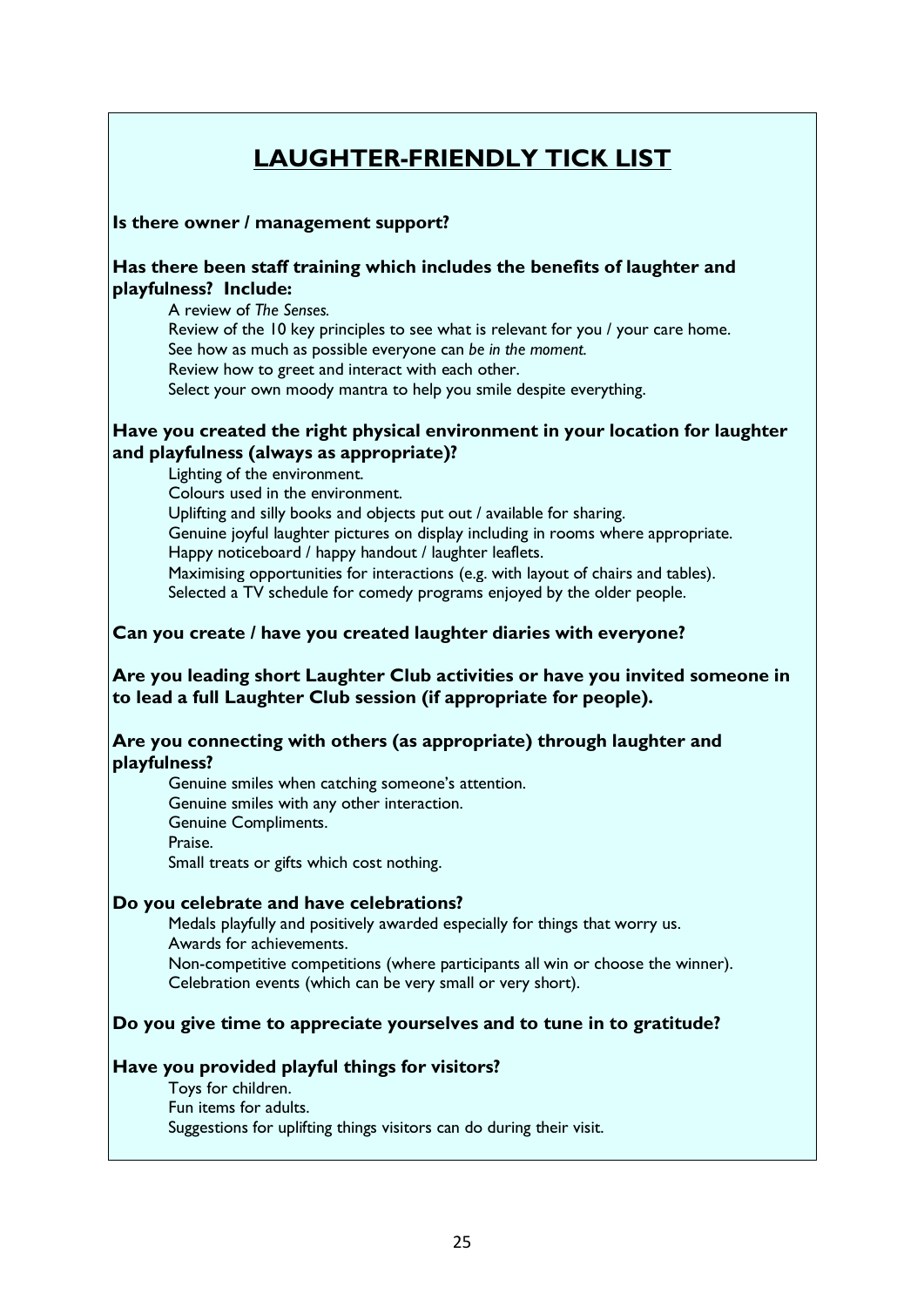### **LAUGHTER-FRIENDLY TICK LIST**

### **Is there owner / management support?**

### **Has there been staff training which includes the benefits of laughter and playfulness? Include:**

A review of *The Senses.*

Review of the 10 key principles to see what is relevant for you / your care home. See how as much as possible everyone can *be in the moment.*

Review how to greet and interact with each other.

Select your own moody mantra to help you smile despite everything.

### **Have you created the right physical environment in your location for laughter and playfulness (always as appropriate)?**

Lighting of the environment.

Colours used in the environment.

Uplifting and silly books and objects put out / available for sharing.

Genuine joyful laughter pictures on display including in rooms where appropriate.

Happy noticeboard / happy handout / laughter leaflets.

Maximising opportunities for interactions (e.g. with layout of chairs and tables). Selected a TV schedule for comedy programs enjoyed by the older people.

### **Can you create / have you created laughter diaries with everyone?**

### **Are you leading short Laughter Club activities or have you invited someone in to lead a full Laughter Club session (if appropriate for people).**

### **Are you connecting with others (as appropriate) through laughter and playfulness?**

Genuine smiles when catching someone's attention. Genuine smiles with any other interaction. Genuine Compliments.

Praise.

Small treats or gifts which cost nothing.

### **Do you celebrate and have celebrations?**

Medals playfully and positively awarded especially for things that worry us. Awards for achievements.

Non-competitive competitions (where participants all win or choose the winner). Celebration events (which can be very small or very short).

### **Do you give time to appreciate yourselves and to tune in to gratitude?**

### **Have you provided playful things for visitors?**

Toys for children. Fun items for adults. Suggestions for uplifting things visitors can do during their visit.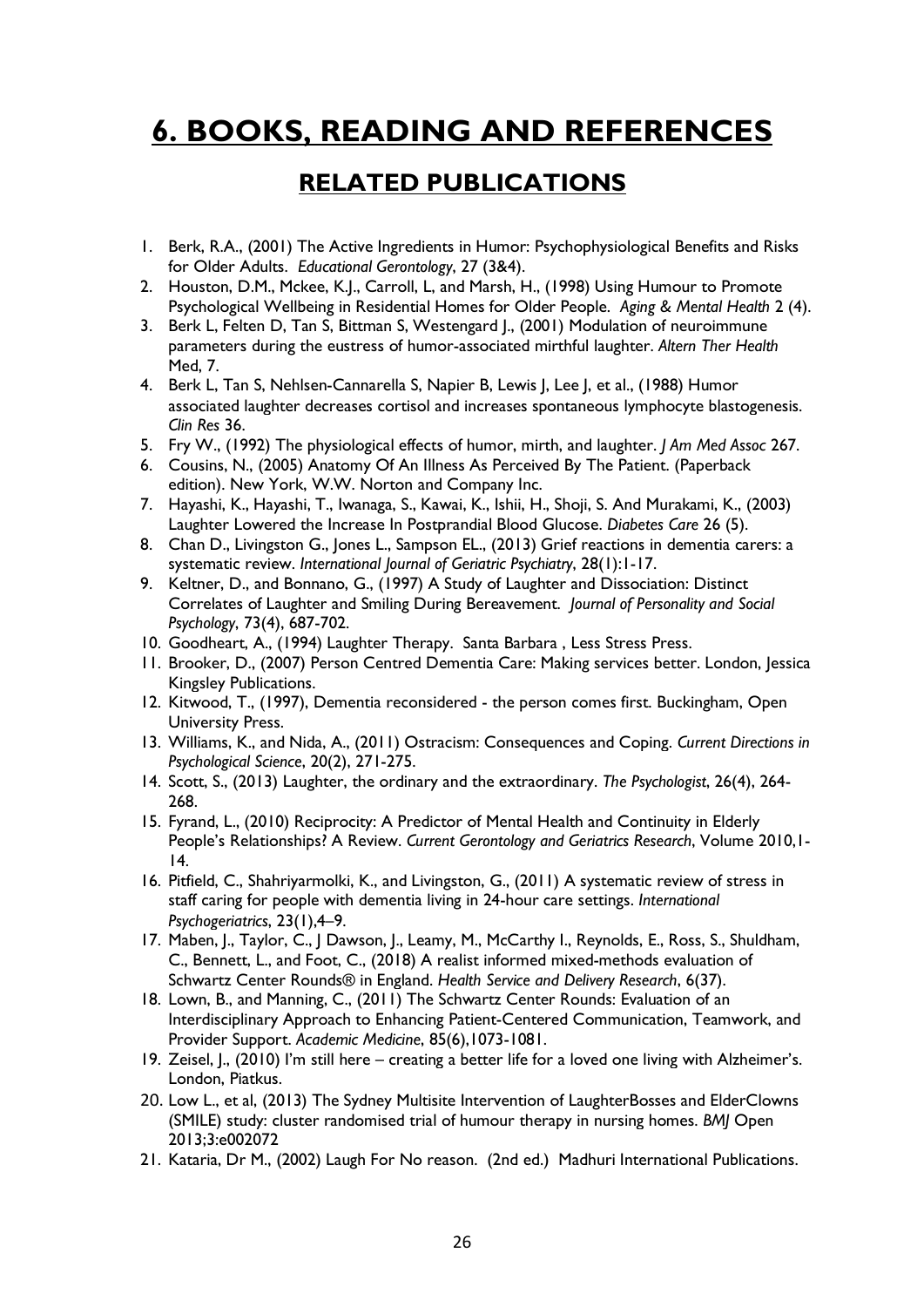# **6. BOOKS, READING AND REFERENCES**

### **RELATED PUBLICATIONS**

- 1. Berk, R.A., (2001) The Active Ingredients in Humor: Psychophysiological Benefits and Risks for Older Adults. *Educational Gerontology*, 27 (3&4).
- 2. Houston, D.M., Mckee, K.J., Carroll, L, and Marsh, H., (1998) Using Humour to Promote Psychological Wellbeing in Residential Homes for Older People. *Aging & Mental Health* 2 (4).
- 3. Berk L, Felten D, Tan S, Bittman S, Westengard J., (2001) Modulation of neuroimmune parameters during the eustress of humor-associated mirthful laughter. *Altern Ther Health* Med, 7.
- 4. Berk L, Tan S, Nehlsen-Cannarella S, Napier B, Lewis J, Lee J, et al., (1988) Humor associated laughter decreases cortisol and increases spontaneous lymphocyte blastogenesis. *Clin Res* 36.
- 5. Fry W., (1992) The physiological effects of humor, mirth, and laughter. *J Am Med Assoc* 267.
- 6. Cousins, N., (2005) Anatomy Of An Illness As Perceived By The Patient. (Paperback edition). New York, W.W. Norton and Company Inc.
- 7. Hayashi, K., Hayashi, T., Iwanaga, S., Kawai, K., Ishii, H., Shoji, S. And Murakami, K., (2003) Laughter Lowered the Increase In Postprandial Blood Glucose. *Diabetes Care* 26 (5).
- 8. Chan D., Livingston G., Jones L., Sampson EL., (2013) Grief reactions in dementia carers: a systematic review. *International Journal of Geriatric Psychiatry*, 28(1):1-17.
- 9. Keltner, D., and Bonnano, G., (1997) A Study of Laughter and Dissociation: Distinct Correlates of Laughter and Smiling During Bereavement. *Journal of Personality and Social Psychology*, 73(4), 687-702.
- 10. Goodheart, A., (1994) Laughter Therapy. Santa Barbara , Less Stress Press.
- 11. Brooker, D., (2007) Person Centred Dementia Care: Making services better. London, Jessica Kingsley Publications.
- 12. Kitwood, T., (1997), Dementia reconsidered the person comes first. Buckingham, Open University Press.
- 13. Williams, K., and Nida, A., (2011) Ostracism: Consequences and Coping. *Current Directions in Psychological Science*, 20(2), 271-275.
- 14. Scott, S., (2013) Laughter, the ordinary and the extraordinary. *The Psychologist*, 26(4), 264- 268.
- 15. Fyrand, L., (2010) Reciprocity: A Predictor of Mental Health and Continuity in Elderly People's Relationships? A Review. *Current Gerontology and Geriatrics Research*, Volume 2010,1- 14.
- 16. Pitfield, C., Shahriyarmolki, K., and Livingston, G., (2011) A systematic review of stress in staff caring for people with dementia living in 24-hour care settings. *International Psychogeriatrics*, 23(1),4–9.
- 17. Maben, J., Taylor, C., J Dawson, J., Leamy, M., McCarthy I., Reynolds, E., Ross, S., Shuldham, C., Bennett, L., and Foot, C., (2018) A realist informed mixed-methods evaluation of Schwartz Center Rounds® in England. *Health Service and Delivery Research*, 6(37).
- 18. Lown, B., and Manning, C., (2011) The Schwartz Center Rounds: Evaluation of an Interdisciplinary Approach to Enhancing Patient-Centered Communication, Teamwork, and Provider Support. *Academic Medicine*, 85(6),1073-1081.
- 19. Zeisel, J., (2010) I'm still here creating a better life for a loved one living with Alzheimer's. London, Piatkus.
- 20. Low L., et al, (2013) The Sydney Multisite Intervention of LaughterBosses and ElderClowns (SMILE) study: cluster randomised trial of humour therapy in nursing homes. *BMJ* Open 2013;3:e002072
- 21. Kataria, Dr M., (2002) Laugh For No reason. (2nd ed.) Madhuri International Publications.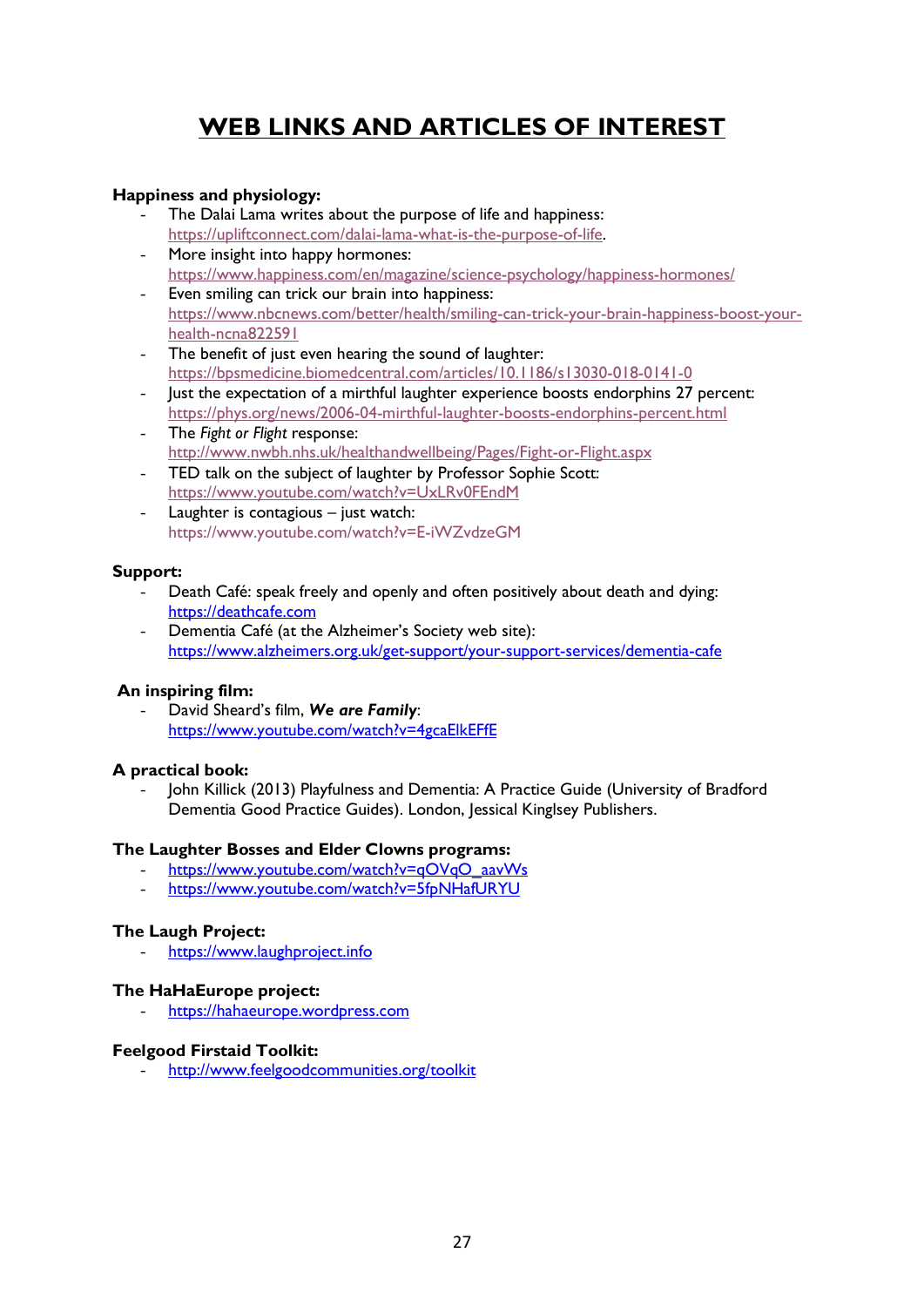### **WEB LINKS AND ARTICLES OF INTEREST**

#### **Happiness and physiology:**

- The Dalai Lama writes about the purpose of life and happiness: https://upliftconnect.com/dalai-lama-what-is-the-purpose-of-life.
- More insight into happy hormones: https://www.happiness.com/en/magazine/science-psychology/happiness-hormones/
- Even smiling can trick our brain into happiness: https://www.nbcnews.com/better/health/smiling-can-trick-your-brain-happiness-boost-yourhealth-ncna822591
- The benefit of just even hearing the sound of laughter: https://bpsmedicine.biomedcentral.com/articles/10.1186/s13030-018-0141-0
- Just the expectation of a mirthful laughter experience boosts endorphins 27 percent: https://phys.org/news/2006-04-mirthful-laughter-boosts-endorphins-percent.html
- The *Fight or Flight* response: http://www.nwbh.nhs.uk/healthandwellbeing/Pages/Fight-or-Flight.aspx
- TED talk on the subject of laughter by Professor Sophie Scott: https://www.youtube.com/watch?v=UxLRv0FEndM
- Laughter is contagious just watch: https://www.youtube.com/watch?v=E-iWZvdzeGM

#### **Support:**

- Death Café: speak freely and openly and often positively about death and dying: https://deathcafe.com
- Dementia Café (at the Alzheimer's Society web site): https://www.alzheimers.org.uk/get-support/your-support-services/dementia-cafe

### **An inspiring film:**

- David Sheard's film, *We are Family*: https://www.youtube.com/watch?v=4gcaElkEFfE

#### **A practical book:**

John Killick (2013) Playfulness and Dementia: A Practice Guide (University of Bradford Dementia Good Practice Guides). London, Jessical Kinglsey Publishers.

#### **The Laughter Bosses and Elder Clowns programs:**

- https://www.youtube.com/watch?v=qOVqO\_aavWs
- https://www.youtube.com/watch?v=5fpNHafURYU

#### **The Laugh Project:**

https://www.laughproject.info

#### **The HaHaEurope project:**

https://hahaeurope.wordpress.com

### **Feelgood Firstaid Toolkit:**

http://www.feelgoodcommunities.org/toolkit